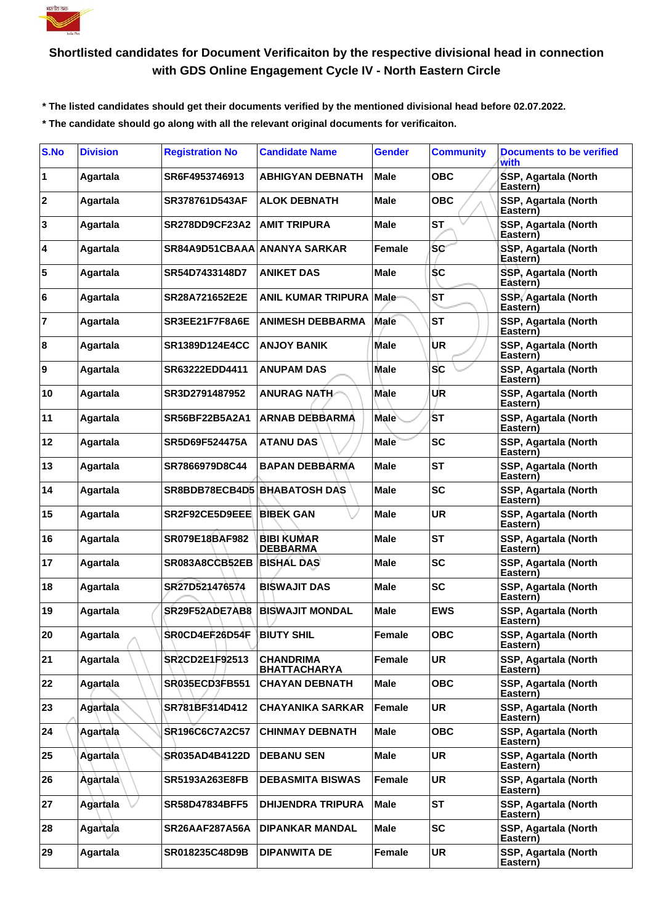

## **Shortlisted candidates for Document Verificaiton by the respective divisional head in connection with GDS Online Engagement Cycle IV - North Eastern Circle**

 **\* The listed candidates should get their documents verified by the mentioned divisional head before 02.07.2022.**

 **\* The candidate should go along with all the relevant original documents for verificaiton.**

| S.No             | <b>Division</b> | <b>Registration No</b>              | <b>Candidate Name</b>                   | <b>Gender</b> | <b>Community</b> | <b>Documents to be verified</b><br>with |
|------------------|-----------------|-------------------------------------|-----------------------------------------|---------------|------------------|-----------------------------------------|
| 1                | Agartala        | SR6F4953746913                      | ABHIGYAN DEBNATH                        | <b>Male</b>   | <b>OBC</b>       | SSP, Agartala (North<br>Eastern)        |
| $\boldsymbol{2}$ | Agartala        | SR378761D543AF                      | <b>ALOK DEBNATH</b>                     | <b>Male</b>   | <b>OBC</b>       | SSP, Agartala (North<br>Eastern)        |
| 3                | Agartala        | <b>SR278DD9CF23A2</b>               | <b>AMIT TRIPURA</b>                     | Male          | <b>ST</b>        | SSP, Agartala (North<br>Eastern)        |
| 4                | Agartala        | SR84A9D51CBAAA ANANYA SARKAR        |                                         | Female        | <b>SC</b>        | SSP, Agartala (North<br>Eastern)        |
| 5                | Agartala        | SR54D7433148D7                      | <b>ANIKET DAS</b>                       | <b>Male</b>   | <b>SC</b>        | SSP, Agartala (North<br>Eastern)        |
| 6                | Agartala        | SR28A721652E2E                      | <b>ANIL KUMAR TRIPURA</b>               | Male          | ST               | <b>SSP, Agartala (North</b><br>Eastern) |
| 17               | Agartala        | SR3EE21F7F8A6E                      | <b>ANIMESH DEBBARMA</b>                 | Male          | <b>ST</b>        | SSP, Agartala (North<br>Eastern)        |
| 8                | Agartala        | <b>SR1389D124E4CC</b>               | <b>ANJOY BANIK</b>                      | Male          | UR               | SSP, Agartala (North<br>Eastern)        |
| 9                | Agartala        | SR63222EDD4411                      | <b>ANUPAM DAS</b>                       | <b>Male</b>   | <b>SC</b>        | SSP, Agartala (North<br>Eastern)        |
| 10               | Agartala        | SR3D2791487952                      | <b>ANURAG NATH</b>                      | Male          | UR               | SSP, Agartala (North<br>Eastern)        |
| 11               | Agartala        | SR56BF22B5A2A1                      | <b>ARNAB DEBBARMA</b>                   | Male          | ίSΤ              | SSP, Agartala (North<br>Eastern)        |
| 12               | Agartala        | SR5D69F524475A                      | <b>ATANU DAS</b>                        | <b>Male</b>   | <b>SC</b>        | SSP, Agartala (North<br>Eastern)        |
| 13               | Agartala        | SR7866979D8C44                      | <b>BAPAN DEBBARMA</b>                   | Male          | <b>ST</b>        | SSP, Agartala (North<br>Eastern)        |
| 14               | Agartala        | <b>SR8BDB78ECB4D5 BHABATOSH DAS</b> |                                         | Male          | <b>SC</b>        | SSP, Agartala (North<br>Eastern)        |
| 15               | Agartala        | SR2F92CE5D9EEE                      | <b>BIBEK GAN</b>                        | Male          | <b>UR</b>        | SSP, Agartala (North<br>Eastern)        |
| 16               | Agartala        | <b>SR079E18BAF982</b>               | <b>BIBI KUMAR</b><br><b>DEBBARMA</b>    | <b>Male</b>   | <b>ST</b>        | SSP, Agartala (North<br>Eastern)        |
| 17               | Agartala        | SR083A8CCB52EB                      | <b>BISHAL DAS</b>                       | <b>Male</b>   | <b>SC</b>        | SSP, Agartala (North<br>Eastern)        |
| 18               | Agartala        | SR27D521476574                      | <b>BISWAJIT DAS</b>                     | Male          | <b>SC</b>        | SSP, Agartala (North<br>Eastern)        |
| 19               | Agartala        | SR29F52ADE7AB8                      | <b>BISWAJIT MONDAL</b>                  | Male          | <b>EWS</b>       | SSP, Agartala (North<br>Eastern)        |
| 20               | Agartala        | SR0CD4ER26D54F BIUTY SHIL           |                                         | Female        | <b>OBC</b>       | SSP, Agartala (North<br>Eastern)        |
| 21               | Agartala        | SR2CD2E1F92513                      | <b>CHANDRIMA</b><br><b>BHATTACHARYA</b> | Female        | UR               | SSP, Agartala (North<br>Eastern)        |
| 22               | Agartala        | SR035ECD3FB551                      | <b>CHAYAN DEBNATH</b>                   | <b>Male</b>   | <b>OBC</b>       | SSP, Agartala (North<br>Eastern)        |
| 23               | Agartala        | SR781BF314D412                      | <b>CHAYANIKA SARKAR</b>                 | Female        | <b>UR</b>        | SSP, Agartala (North<br>Eastern)        |
| 24               | Agartala        | SR196C6C7A2C57                      | <b>CHINMAY DEBNATH</b>                  | <b>Male</b>   | <b>OBC</b>       | SSP, Agartala (North<br>Eastern)        |
| 25               | Agartala        | SR035AD4B4122D                      | <b>DEBANU SEN</b>                       | <b>Male</b>   | UR               | SSP, Agartala (North<br>Eastern)        |
| 26               | Agàrtala∖       | <b>SR5193A263E8FB</b>               | <b>DEBASMITA BISWAS</b>                 | Female        | <b>UR</b>        | SSP, Agartala (North<br>Eastern)        |
| 27               | Agartala        | <b>SR58D47834BFF5</b>               | <b>DHIJENDRA TRIPURA</b>                | Male          | <b>ST</b>        | SSP, Agartala (North<br>Eastern)        |
| 28               | Agartala        | <b>SR26AAF287A56A</b>               | <b>DIPANKAR MANDAL</b>                  | <b>Male</b>   | <b>SC</b>        | SSP, Agartala (North<br>Eastern)        |
| 29               | Agartala        | SR018235C48D9B                      | <b>DIPANWITA DE</b>                     | Female        | <b>UR</b>        | SSP, Agartala (North<br>Eastern)        |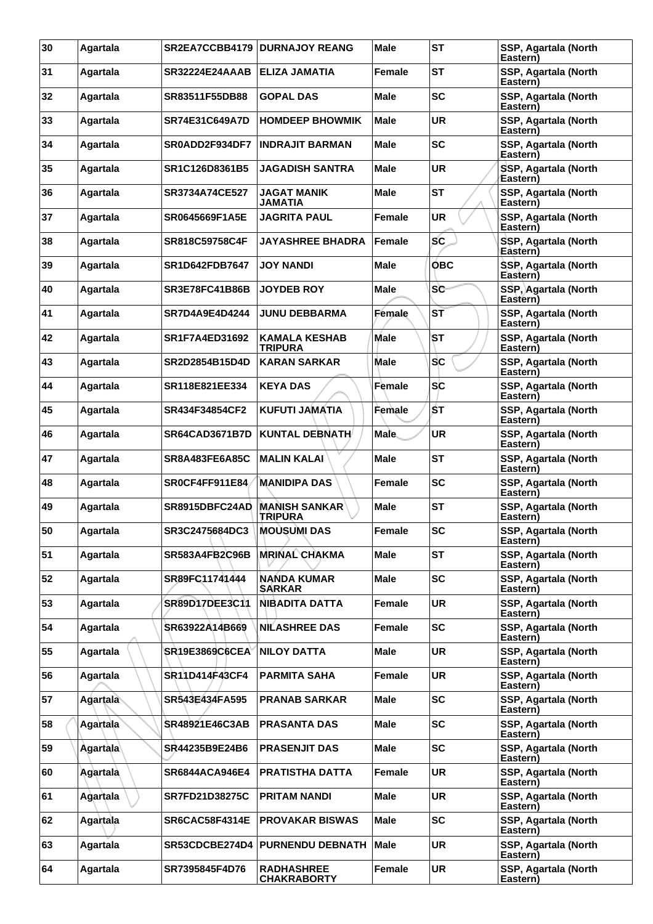| 30 | Agartala        | SR2EA7CCBB4179        | <b>DURNAJOY REANG</b>                   | <b>Male</b>   | <b>ST</b>  | SSP, Agartala (North<br>Eastern) |
|----|-----------------|-----------------------|-----------------------------------------|---------------|------------|----------------------------------|
| 31 | Agartala        | SR32224E24AAAB        | ELIZA JAMATIA                           | Female        | <b>ST</b>  | SSP, Agartala (North<br>Eastern) |
| 32 | Agartala        | SR83511F55DB88        | <b>GOPAL DAS</b>                        | Male          | <b>SC</b>  | SSP, Agartala (North<br>Eastern) |
| 33 | Agartala        | <b>SR74E31C649A7D</b> | <b>HOMDEEP BHOWMIK</b>                  | Male          | <b>UR</b>  | SSP, Agartala (North<br>Eastern) |
| 34 | Agartala        | SR0ADD2F934DF7        | <b>INDRAJIT BARMAN</b>                  | Male          | <b>SC</b>  | SSP, Agartala (North<br>Eastern) |
| 35 | Agartala        | SR1C126D8361B5        | JAGADISH SANTRA                         | Male          | <b>UR</b>  | SSP, Agartala (North<br>Eastern) |
| 36 | Agartala        | SR3734A74CE527        | <b>JAGAT MANIK</b><br><b>JAMATIA</b>    | Male          | <b>ST</b>  | SSP, Agartala (North<br>Eastern) |
| 37 | Agartala        | <b>SR0645669F1A5E</b> | <b>JAGRITA PAUL</b>                     | Female        | <b>UR</b>  | SSP, Agartala (North<br>Eastern) |
| 38 | Agartala        | SR818C59758C4F        | <b>JAYASHREE BHADRA</b>                 | Female        | SC         | SSP, Agartala (North<br>Eåstern) |
| 39 | Agartala        | <b>SR1D642FDB7647</b> | <b>JOY NANDI</b>                        | <b>Male</b>   | <b>OBC</b> | SSP, Agartala (North<br>Eastern) |
| 40 | Agartala        | <b>SR3E78FC41B86B</b> | <b>JOYDEB ROY</b>                       | Male          | <b>SC</b>  | SSP, Agartala (North<br>Eastern) |
| 41 | Agartala        | SR7D4A9E4D4244        | <b>JUNU DEBBARMA</b>                    | <b>Female</b> | ST         | SSP, Agartala (North<br>Eastern) |
| 42 | Agartala        | SR1F7A4ED31692        | <b>KAMALA KESHAB</b><br><b>TRIPURA</b>  | <b>Male</b>   | ST         | SSP, Agartala (North<br>Eastern) |
| 43 | Agartala        | SR2D2854B15D4D        | <b>KARAN SARKAR</b>                     | Male          | <b>SC</b>  | SSP, Agartala (North<br>Eastern) |
| 44 | Agartala        | SR118E821EE334        | <b>KEYA DAS</b>                         | Female        | <b>SC</b>  | SSP, Agartala (North<br>Eastern) |
| 45 | Agartala        | SR434F34854CF2        | <b>KUFUTI JAMATIA</b>                   | Female        | ŚΤ         | SSP, Agartala (North<br>Eastern) |
| 46 | Agartala        | <b>SR64CAD3671B7D</b> | <b>KUNTAL DEBNATH</b>                   | <b>Male</b>   | UR         | SSP, Agartala (North<br>Eastern) |
| 47 | Agartala        | <b>SR8A483FE6A85C</b> | <b>MALIN KALAI</b>                      | <b>Male</b>   | <b>ST</b>  | SSP, Agartala (North<br>Eastern) |
| 48 | Agartala        | SR0CF4FF911E84        | <b>MANIDIPA DAS</b>                     | Female        | <b>SC</b>  | SSP, Agartala (North<br>Eastern) |
| 49 | Agartala        | SR8915DBFC24AD        | MANISH SANKAR`<br><b>TRIPURA</b>        | Male          | <b>ST</b>  | SSP, Agartala (North<br>Eastern) |
| 50 | Agartala        | SR3C2475684DC3        | <b>MOUSUMI DAS</b>                      | <b>Female</b> | <b>SC</b>  | SSP, Agartala (North<br>Eastern) |
| 51 | Agartala        | <b>SR583A4FB2C96B</b> | <b>MRINAL CHAKMA</b>                    | <b>Male</b>   | <b>ST</b>  | SSP, Agartala (North<br>Eastern) |
| 52 | Agartala        | SR89FC11741444        | <b>NANDA KUMAR</b><br><b>SARKAR</b>     | <b>Male</b>   | <b>SC</b>  | SSP, Agartala (North<br>Eastern) |
| 53 | Agartala        | SR89D17DEE3C11        | <b>NIBADITA DATTA</b>                   | Female        | UR         | SSP, Agartala (North<br>Eastern) |
| 54 | Agartala        | SR63922A14B669        | <b>NILASHREE DAS</b>                    | Female        | <b>SC</b>  | SSP, Agartala (North<br>Eastern) |
| 55 | Agartala        | SR19E3869C6CEA        | <b>NILOY DATTA</b>                      | Male          | <b>UR</b>  | SSP, Agartala (North<br>Eastern) |
| 56 | Agartala        | SR11D414F43CF4        | <b>PARMITA SAHA</b>                     | Female        | UR         | SSP, Agartala (North<br>Eastern) |
| 57 | Agartala        | SR543E434FA595        | <b>PRANAB SARKAR</b>                    | <b>Male</b>   | <b>SC</b>  | SSP, Agartala (North<br>Eastern) |
| 58 | Agartala        | SR48921E46C3AB        | <b>PRASANTA DAS</b>                     | <b>Male</b>   | <b>SC</b>  | SSP, Agartala (North<br>Eastern) |
| 59 | <b>Agartala</b> | SR44235B9E24B6        | <b>PRASENJIT DAS</b>                    | <b>Male</b>   | <b>SC</b>  | SSP, Agartala (North<br>Eastern) |
| 60 | Agartala        | <b>SR6844ACA946E4</b> | <b>PRATISTHA DATTA</b>                  | Female        | UR         | SSP, Agartala (North<br>Eastern) |
| 61 | Agartala        | <b>SR7FD21D38275C</b> | <b>PRITAM NANDI</b>                     | <b>Male</b>   | UR         | SSP, Agartala (North<br>Eastern) |
| 62 | Agartala        | SR6CAC58F4314E        | <b>PROVAKAR BISWAS</b>                  | Male          | <b>SC</b>  | SSP, Agartala (North<br>Eastern) |
| 63 | Agartala        | SR53CDCBE274D4        | <b>PURNENDU DEBNATH</b>                 | <b>Male</b>   | UR         | SSP, Agartala (North<br>Eastern) |
| 64 | Agartala        | SR7395845F4D76        | <b>RADHASHREE</b><br><b>CHAKRABORTY</b> | Female        | UR         | SSP, Agartala (North<br>Eastern) |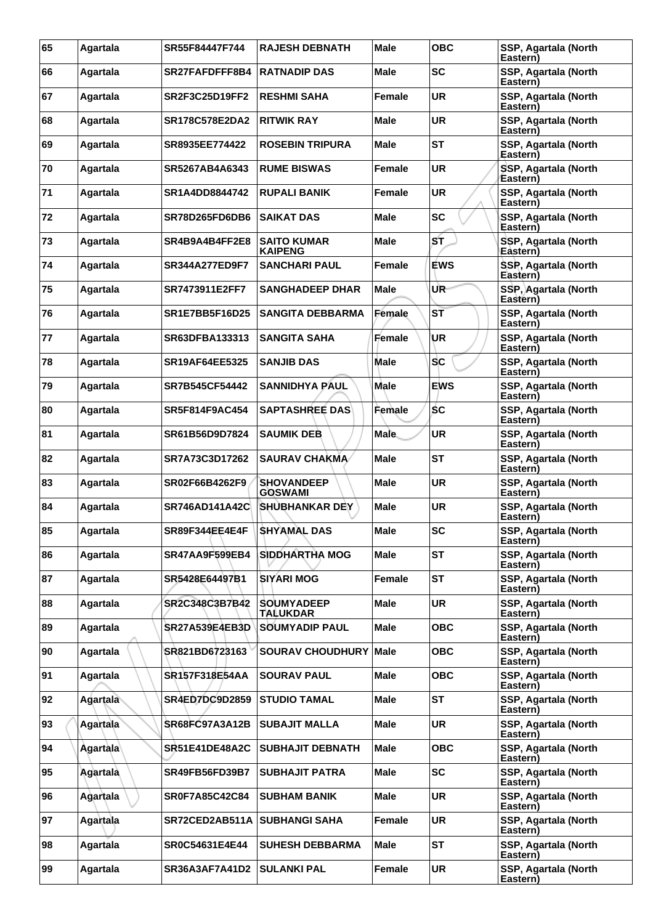| 65 | Agartala        | SR55F84447F744        | <b>RAJESH DEBNATH</b>                | <b>Male</b> | <b>OBC</b> | SSP, Agartala (North<br>Eastern) |
|----|-----------------|-----------------------|--------------------------------------|-------------|------------|----------------------------------|
| 66 | Agartala        | SR27FAFDFFF8B4        | <b>RATNADIP DAS</b>                  | Male        | <b>SC</b>  | SSP, Agartala (North<br>Eastern) |
| 67 | Agartala        | <b>SR2F3C25D19FF2</b> | <b>RESHMI SAHA</b>                   | Female      | <b>UR</b>  | SSP, Agartala (North<br>Eastern) |
| 68 | Agartala        | SR178C578E2DA2        | <b>RITWIK RAY</b>                    | Male        | <b>UR</b>  | SSP, Agartala (North<br>Eastern) |
| 69 | Agartala        | SR8935EE774422        | <b>ROSEBIN TRIPURA</b>               | Male        | <b>ST</b>  | SSP, Agartala (North<br>Eastern) |
| 70 | Agartala        | SR5267AB4A6343        | <b>RUME BISWAS</b>                   | Female      | <b>UR</b>  | SSP, Agartala (North<br>Eastern) |
| 71 | Agartala        | SR1A4DD8844742        | <b>RUPALI BANIK</b>                  | Female      | <b>UR</b>  | SSP, Agartala (North<br>Eastern) |
| 72 | Agartala        | SR78D265FD6DB6        | <b>SAIKAT DAS</b>                    | Male        | <b>SC</b>  | SSP, Agartala (North<br>Eastern) |
| 73 | Agartala        | SR4B9A4B4FF2E8        | <b>SAITO KUMAR</b><br><b>KAIPENG</b> | Male        | ST         | SSP, Agartala (North<br>Eåstern) |
| 74 | Agartala        | <b>SR344A277ED9F7</b> | <b>SANCHARI PAUL</b>                 | Female      | <b>EWS</b> | SSP, Agartala (North<br>Eastern) |
| 75 | Agartala        | SR7473911E2FF7        | <b>SANGHADEEP DHAR</b>               | Male        | UR-        | SSP, Agartala (North<br>Eastern) |
| 76 | Agartala        | <b>SR1E7BB5F16D25</b> | <b>SANGITA DEBBARMA</b>              | Female      | ST         | SSP, Agartala (North<br>Eastern) |
| 77 | Agartala        | <b>SR63DFBA133313</b> | <b>SANGITA SAHA</b>                  | Female      | UR         | SSP, Agartala (North<br>Eastern) |
| 78 | Agartala        | <b>SR19AF64EE5325</b> | <b>SANJIB DAS</b>                    | Male        | SC         | SSP, Agartala (North<br>Eastern) |
| 79 | Agartala        | <b>SR7B545CF54442</b> | <b>SANNIDHYA PAUL</b>                | <b>Male</b> | <b>EWS</b> | SSP, Agartala (North<br>Eastern) |
| 80 | Agartala        | SR5F814F9AC454        | <b>SAPTASHREE DAS</b>                | Female      | ŚС         | SSP, Agartala (North<br>Eastern) |
| 81 | Agartala        | SR61B56D9D7824        | <b>SAUMIK DEB</b>                    | <b>Male</b> | UR         | SSP, Agartala (North<br>Eastern) |
| 82 | Agartala        | SR7A73C3D17262        | <b>SAURAV CHAKMA</b>                 | Male        | <b>ST</b>  | SSP, Agartala (North<br>Eastern) |
| 83 | Agartala        | SR02F66B4262F9        | <b>SHOVANDEEP</b><br><b>GOSWAMI</b>  | Male        | <b>UR</b>  | SSP, Agartala (North<br>Eastern) |
| 84 | Agartala        | <b>SR746AD141A42C</b> | <b>SHUBHANKAR DEY</b>                | Male        | <b>UR</b>  | SSP, Agartala (North<br>Eastern) |
| 85 | Agartala        | SR89F344EE4E4F        | <b>SHYAMAL DAS</b>                   | Male        | <b>SC</b>  | SSP, Agartala (North<br>Eastern) |
| 86 | Agartala        | <b>SR47AA9F599EB4</b> | <b>SIDDHARTHA MOG</b>                | <b>Male</b> | <b>ST</b>  | SSP, Agartala (North<br>Eastern) |
| 87 | Agartala        | SR5428E64497B1        | <b>SIYARI MOG</b>                    | Female      | <b>ST</b>  | SSP, Agartala (North<br>Eastern) |
| 88 | Agartala        | SR2C348C3B7B42        | <b>SOUMYADEEP</b><br><b>TALUKDAR</b> | Male        | UR         | SSP, Agartala (North<br>Eastern) |
| 89 | Agartala        | <b>SR27A539E4EB3D</b> | <b>SOUMYADIP PAUL</b>                | Male        | <b>OBC</b> | SSP, Agartala (North<br>Eastern) |
| 90 | Agartala        | SR821BD6723163        | <b>SOURAV CHOUDHURY Male</b>         |             | <b>OBC</b> | SSP, Agartala (North<br>Eastern) |
| 91 | Agartala        | <b>SR157F318E54AA</b> | <b>SOURAV PAUL</b>                   | Male        | <b>OBC</b> | SSP, Agartala (North<br>Eastern) |
| 92 | Agartala        | <b>SR4ED7DC9D2859</b> | <b>STUDIO TAMAL</b>                  | <b>Male</b> | ST         | SSP, Agartala (North<br>Eastern) |
| 93 | Agartala        | <b>SR68FC97A3A12B</b> | <b>SUBAJIT MALLA</b>                 | <b>Male</b> | <b>UR</b>  | SSP, Agartala (North<br>Eastern) |
| 94 | <b>Agartala</b> | <b>SR51E41DE48A2C</b> | <b>SUBHAJIT DEBNATH</b>              | Male        | ОВС        | SSP, Agartala (North<br>Eastern) |
| 95 | Agartala        | <b>SR49FB56FD39B7</b> | <b>SUBHAJIT PATRA</b>                | Male        | <b>SC</b>  | SSP, Agartala (North<br>Eastern) |
| 96 | Agartala        | <b>SR0F7A85C42C84</b> | <b>SUBHAM BANIK</b>                  | <b>Male</b> | UR         | SSP, Agartala (North<br>Eastern) |
| 97 | Agartala        | SR72CED2AB511A        | <b>SUBHANGI SAHA</b>                 | Female      | <b>UR</b>  | SSP, Agartala (North<br>Eastern) |
| 98 | Agartala        | <b>SR0C54631E4E44</b> | <b>SUHESH DEBBARMA</b>               | <b>Male</b> | ST         | SSP, Agartala (North<br>Eastern) |
| 99 | Agartala        | <b>SR36A3AF7A41D2</b> | <b>SULANKI PAL</b>                   | Female      | UR         | SSP, Agartala (North<br>Eastern) |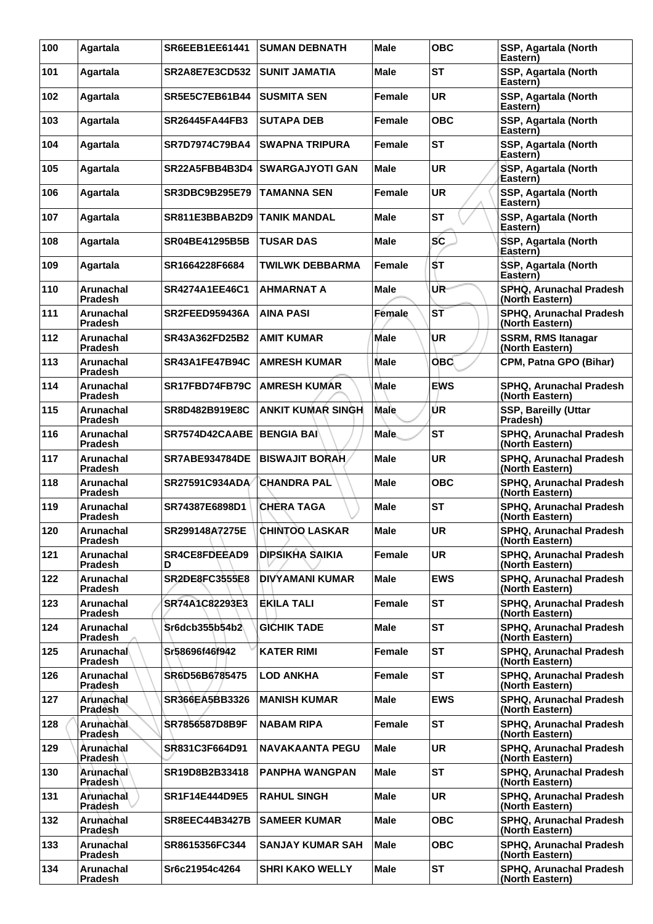| 100 | Agartala                           | <b>SR6EEB1EE61441</b> | <b>SUMAN DEBNATH</b>     | <b>Male</b>   | <b>OBC</b>      | SSP, Agartala (North<br>Eastern)                  |
|-----|------------------------------------|-----------------------|--------------------------|---------------|-----------------|---------------------------------------------------|
| 101 | Agartala                           | <b>SR2A8E7E3CD532</b> | <b>SUNIT JAMATIA</b>     | <b>Male</b>   | <b>ST</b>       | SSP, Agartala (North<br>Eastern)                  |
| 102 | Agartala                           | <b>SR5E5C7EB61B44</b> | <b>SUSMITA SEN</b>       | <b>Female</b> | <b>UR</b>       | SSP, Agartala (North<br>Eastern)                  |
| 103 | Agartala                           | <b>SR26445FA44FB3</b> | <b>SUTAPA DEB</b>        | Female        | <b>OBC</b>      | SSP, Agartala (North<br>Eastern)                  |
| 104 | Agartala                           | <b>SR7D7974C79BA4</b> | <b>SWAPNA TRIPURA</b>    | Female        | <b>ST</b>       | SSP, Agartala (North<br>Eastern)                  |
| 105 | Agartala                           | SR22A5FBB4B3D4        | <b>SWARGAJYOTI GAN</b>   | Male          | <b>UR</b>       | SSP, Agartala (North<br>Eastern)                  |
| 106 | Agartala                           | <b>SR3DBC9B295E79</b> | <b>TAMANNA SEN</b>       | <b>Female</b> | <b>UR</b>       | SSP, Agartala (North<br>Eastern)                  |
| 107 | Agartala                           | SR811E3BBAB2D9        | <b>TANIK MANDAL</b>      | <b>Male</b>   | <b>ST</b>       | SSP, Agartala (North<br>Eastern)                  |
| 108 | Agartala                           | <b>SR04BE41295B5B</b> | TUSAR DAS                | <b>Male</b>   | SC              | SSP, Agartala (North<br>Eåstern)                  |
| 109 | Agartala                           | SR1664228F6684        | <b>TWILWK DEBBARMA</b>   | Female        | ŚТ              | SSP, Agartala (North<br>Eastern)                  |
| 110 | Arunachal<br><b>Pradesh</b>        | SR4274A1EE46C1        | <b>AHMARNAT A</b>        | Male          | UR-             | SPHQ, Arunachal Pradesh<br>(North Eastern)        |
| 111 | Arunachal<br><b>Pradesh</b>        | SR2FEED959436A        | <b>AINA PASI</b>         | Female        | $S\overline{T}$ | SPHQ, Arunachal Pradesh<br>(North Eastern)        |
| 112 | <b>Arunachal</b><br><b>Pradesh</b> | SR43A362FD25B2        | <b>AMIT KUMAR</b>        | <b>Male</b>   | UR              | <b>SSRM, RMS Itanagar</b><br>(North Eastern)      |
| 113 | Arunachal<br><b>Pradesh</b>        | SR43A1FE47B94C        | <b>AMRESH KUMAR</b>      | <b>Male</b>   | <b>OBC</b>      | CPM, Patna GPO (Bihar)                            |
| 114 | Arunachal<br><b>Pradesh</b>        | SR17FBD74FB79C        | <b>AMRESH KUMAR</b>      | <b>Male</b>   | <b>EWS</b>      | SPHQ, Arunachal Pradesh<br>(North Eastern)        |
| 115 | <b>Arunachal</b><br><b>Pradesh</b> | SR8D482B919E8C        | <b>ANKIT KUMAR SINGH</b> | Male          | ÚR              | <b>SSP, Bareilly (Uttar</b><br>Pradesh)           |
| 116 | <b>Arunachal</b><br>Pradesh        | SR7574D42CAABE        | <b>BENGIA BAI</b>        | <b>Male</b>   | <b>ST</b>       | SPHQ, Arunachal Pradesh<br>(North Eastern)        |
| 117 | Arunachal<br><b>Pradesh</b>        | <b>SR7ABE934784DE</b> | <b>BISWAJIT BORAH</b>    | Male          | <b>UR</b>       | SPHQ, Arunachal Pradesh<br>(North Eastern)        |
| 118 | Arunachal<br><b>Pradesh</b>        | SR27591C934ADA        | <b>CHANDRA PAL</b>       | <b>Male</b>   | <b>OBC</b>      | SPHQ, Arunachal Pradesh<br>(North Eastern)        |
| 119 | Arunachal<br><b>Pradesh</b>        | SR74387E6898D1        | <b>CHERA TAGA</b>        | Male          | <b>ST</b>       | SPHQ, Arunachal Pradesh<br>(North Eastern)        |
| 120 | Arunachal<br>Pradesh               | SR299148A7275E        | <b>CHINTOO LASKAR</b>    | <b>Male</b>   | <b>UR</b>       | SPHQ. Arunachal Pradesh<br>(North Eastern)        |
| 121 | Arunachal<br><b>Pradesh</b>        | SR4CE8FDEEAD9<br>D    | <b>DIPSIKHA SAIKIA</b>   | <b>Female</b> | <b>UR</b>       | SPHQ, Arunachal Pradesh<br>(North Eastern)        |
| 122 | Arunachal<br><b>Pradesh</b>        | <b>SR2DE8FC3555E8</b> | <b>DIVYAMANI KUMAR</b>   | <b>Male</b>   | <b>EWS</b>      | SPHQ, Arunachal Pradesh<br>(North Eastern)        |
| 123 | Arunachal<br>Pradesh               | SR74A1C82293E3        | <b>EKILA TALI</b>        | Female        | <b>ST</b>       | SPHQ, Arunachal Pradesh<br>(North Eastern)        |
| 124 | Arunachal<br><b>Pradesh</b>        | Sr6dcb355b54b2        | <b>GICHIK TADE</b>       | <b>Male</b>   | <b>ST</b>       | SPHQ, Arunachal Pradesh<br>(North Eastern)        |
| 125 | Arunachal<br><b>Pradesh</b>        | Sr58696f46f942        | KATER RIMI               | <b>Female</b> | <b>ST</b>       | SPHQ, Arunachal Pradesh<br>(North Eastern)        |
| 126 | <b>Arunachal</b><br>Pradesh        | SR6D56B6785475        | <b>LOD ANKHA</b>         | Female        | <b>ST</b>       | <b>SPHQ, Arunachal Pradesh</b><br>(North Eastern) |
| 127 | Arunachal<br>Pradesh               | SR366EA5BB3326        | <b>MANISH KUMAR</b>      | <b>Male</b>   | <b>EWS</b>      | SPHQ, Arunachal Pradesh<br>(North Eastern)        |
| 128 | Arunachal<br>Pradesh               | SR7856587D8B9F        | <b>NABAM RIPA</b>        | Female        | <b>ST</b>       | SPHQ, Arunachal Pradesh<br>(North Eastern)        |
| 129 | Arunachal<br>Pradesh               | SR831C3F664D91        | <b>NAVAKAANTA PEGU</b>   | Male          | <b>UR</b>       | SPHQ, Arunachal Pradesh<br>(North Eastern)        |
| 130 | Arunachal<br><b>Pradesh</b>        | SR19D8B2B33418        | <b>PANPHA WANGPAN</b>    | <b>Male</b>   | <b>ST</b>       | SPHQ, Arunachal Pradesh<br>(North Eastern)        |
| 131 | Arunachal<br>Pradesh               | SR1F14E444D9E5        | <b>RAHUL SINGH</b>       | <b>Male</b>   | <b>UR</b>       | SPHQ, Arunachal Pradesh<br>(North Eastern)        |
| 132 | Arunachal<br>Pradesh               | <b>SR8EEC44B3427B</b> | <b>SAMEER KUMAR</b>      | <b>Male</b>   | <b>OBC</b>      | SPHQ, Arunachal Pradesh<br>(North Eastern)        |
| 133 | Arunachal<br><b>Pradesh</b>        | SR8615356FC344        | <b>SANJAY KUMAR SAH</b>  | <b>Male</b>   | <b>OBC</b>      | SPHQ, Arunachal Pradesh<br>(North Eastern)        |
| 134 | Arunachal<br>Pradesh               | Sr6c21954c4264        | <b>SHRI KAKO WELLY</b>   | Male          | <b>ST</b>       | SPHQ, Arunachal Pradesh<br>(North Eastern)        |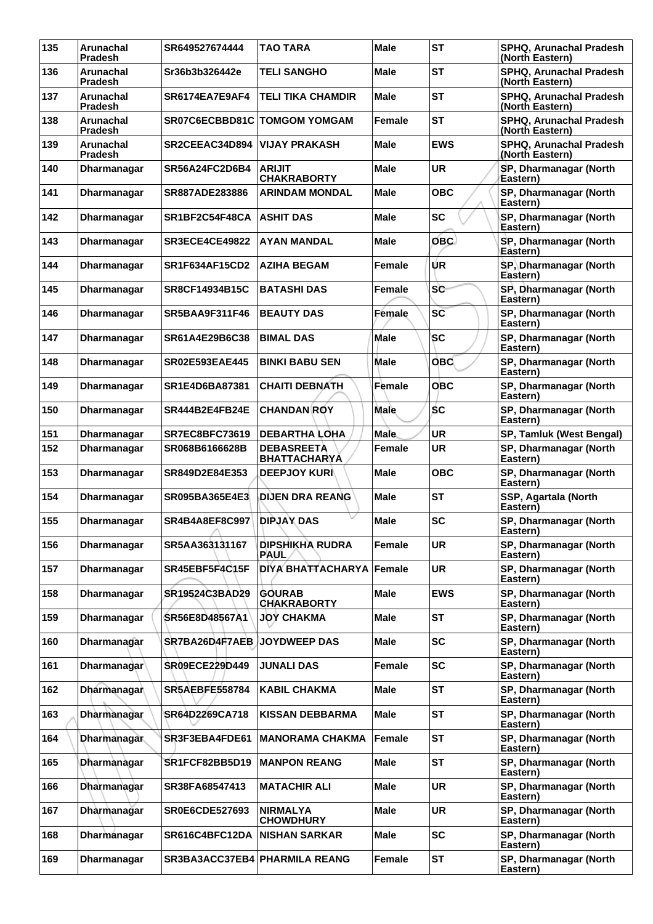| 135 | Arunachal<br><b>Pradesh</b> | SR649527674444           | <b>TAO TARA</b>                          | <b>Male</b>   | <b>ST</b>  | SPHQ, Arunachal Pradesh<br>(North Eastern) |
|-----|-----------------------------|--------------------------|------------------------------------------|---------------|------------|--------------------------------------------|
| 136 | Arunachal<br><b>Pradesh</b> | Sr36b3b326442e           | <b>TELI SANGHO</b>                       | <b>Male</b>   | <b>ST</b>  | SPHQ, Arunachal Pradesh<br>(North Eastern) |
| 137 | Arunachal<br><b>Pradesh</b> | SR6174EA7E9AF4           | <b>TELI TIKA CHAMDIR</b>                 | Male          | <b>ST</b>  | SPHQ, Arunachal Pradesh<br>(North Eastern) |
| 138 | Arunachal<br><b>Pradesh</b> | SR07C6ECBBD81C           | <b>TOMGOM YOMGAM</b>                     | Female        | <b>ST</b>  | SPHQ, Arunachal Pradesh<br>(North Eastern) |
| 139 | Arunachal<br><b>Pradesh</b> | SR2CEEAC34D894           | <b>VIJAY PRAKASH</b>                     | Male          | <b>EWS</b> | SPHQ, Arunachal Pradesh<br>(North Eastern) |
| 140 | Dharmanagar                 | SR56A24FC2D6B4           | <b>ARIJIT</b><br><b>CHAKRABORTY</b>      | Male          | <b>UR</b>  | SP, Dharmanagar (North<br>Eastern)         |
| 141 | Dharmanagar                 | SR887ADE283886           | <b>ARINDAM MONDAL</b>                    | Male          | <b>OBC</b> | SP, Dharmanagar (North<br>Eastern)         |
| 142 | Dharmanagar                 | SR1BF2C54F48CA           | <b>ASHIT DAS</b>                         | <b>Male</b>   | <b>SC</b>  | SP, Dharmanagar (North<br>Eastern)         |
| 143 | Dharmanagar                 | <b>SR3ECE4CE49822</b>    | <b>AYAN MANDAL</b>                       | Male          | OBC)       | SP, Dharmanagar (North<br>Eastern)         |
| 144 | <b>Dharmanagar</b>          | <b>SR1F634AF15CD2</b>    | <b>AZIHA BEGAM</b>                       | Female        | ÚR         | SP, Dharmanagar (North<br>Eastern)         |
| 145 | Dharmanagar                 | <b>SR8CF14934B15C</b>    | <b>BATASHI DAS</b>                       | Female        | <b>SC</b>  | SP, Dharmanagar (North<br>Eastern)         |
| 146 | <b>Dharmanagar</b>          | <b>SR5BAA9F311F46</b>    | <b>BEAUTY DAS</b>                        | Female        | SC         | SP, Dharmanagar (North<br>Eastern)         |
| 147 | <b>Dharmanagar</b>          | SR61A4E29B6C38           | <b>BIMAL DAS</b>                         | <b>Male</b>   | <b>SC</b>  | SP, Dharmanagar (North<br>Eastern)         |
| 148 | <b>Dharmanagar</b>          | <b>SR02E593EAE445</b>    | <b>BINKI BABU SEN</b>                    | Male          | <b>OBC</b> | SP, Dharmanagar (North<br>Eastern)         |
| 149 | Dharmanagar                 | SR1E4D6BA87381           | <b>CHAITI DEBNATH</b>                    | Female        | <b>OBC</b> | SP, Dharmanagar (North<br>Eastern)         |
| 150 | <b>Dharmanagar</b>          | <b>SR444B2E4FB24E</b>    | <b>CHANDAN ROY</b>                       | <b>Male</b>   | ŚС         | SP, Dharmanagar (North<br>Eastern)         |
| 151 | Dharmanagar                 | <b>SR7EC8BFC73619</b>    | <b>DEBARTHA LOHA</b>                     | <b>Male</b>   | UR         | SP, Tamluk (West Bengal)                   |
| 152 | Dharmanagar                 | SR068B6166628B           | <b>DEBASREETA</b><br><b>BHATTACHARYA</b> | Female        | <b>UR</b>  | SP, Dharmanagar (North<br>Eastern)         |
| 153 | <b>Dharmanagar</b>          | SR849D2E84E353           | <b>DEEPJOY KURI</b>                      | Male          | <b>OBC</b> | SP, Dharmanagar (North<br>Eastern)         |
| 154 | Dharmanagar                 | <b>SR095BA365E4E3</b>    | <b>DIJEN DRA REANG</b>                   | Male          | <b>ST</b>  | SSP, Agartala (North<br>Eastern)           |
| 155 | <b>Dharmanagar</b>          | SR4B4A8EF8C997<br>$\sim$ | <b>DIPJAY DAS</b>                        | Male          | <b>SC</b>  | SP, Dharmanagar (North<br>Eastern)         |
| 156 | Dharmanagar                 | SR5AA363131167           | <b>DIPSHIKHA RUDRA</b><br>PAUL           | Female        | <b>UR</b>  | SP, Dharmanagar (North<br>Eastern)         |
| 157 | Dharmanagar                 | SR45EBF5F4C15F           | <b>DIYA BHATTACHARYA  </b>               | Female        | <b>UR</b>  | SP, Dharmanagar (North<br>Eastern)         |
| 158 | <b>Dharmanagar</b>          | SR19524C3BAD29           | <b>GOURAB</b><br><b>CHAKRABORTY</b>      | Male          | <b>EWS</b> | SP, Dharmanagar (North<br>Eastern)         |
| 159 | Dharmanagar                 | SR56E8D48567A1           | <b>JOY CHAKMA</b>                        | <b>Male</b>   | <b>ST</b>  | SP, Dharmanagar (North<br>Eastern)         |
| 160 | <b>Dharmanagar</b>          | SR7BA26D4F7AEB           | <b>JOYDWEEP DAS</b>                      | <b>Male</b>   | <b>SC</b>  | SP, Dharmanagar (North<br>Eastern)         |
| 161 | Dharmanagar                 | SR09ECE229D449           | <b>JUNALI DAS</b>                        | Female        | <b>SC</b>  | SP, Dharmanagar (North<br>Eastern)         |
| 162 | Dharmanagar                 | <b>SR5AEBFE558784</b>    | <b>KABIL CHAKMA</b>                      | <b>Male</b>   | <b>ST</b>  | SP, Dharmanagar (North<br>Eastern)         |
| 163 | Dharmanagar                 | SR64D2269CA718           | <b>KISSAN DEBBARMA</b>                   | Male          | <b>ST</b>  | SP, Dharmanagar (North<br>Eastern)         |
| 164 | <b>Dharmanagar</b>          | SR3F3EBA4FDE61           | <b>MANORAMA CHAKMA</b>                   | Female        | <b>ST</b>  | SP, Dharmanagar (North<br>Eastern)         |
| 165 | Dharmanagar                 | SR1FCF82BB5D19           | <b>MANPON REANG</b>                      | <b>Male</b>   | <b>ST</b>  | SP, Dharmanagar (North<br>Eastern)         |
| 166 | Dharmanagar                 | SR38FA68547413           | <b>MATACHIR ALI</b>                      | Male          | <b>UR</b>  | SP, Dharmanagar (North<br>Eastern)         |
| 167 | Dharmanagar                 | <b>SR0E6CDE527693</b>    | <b>NIRMALYA</b><br><b>CHOWDHURY</b>      | <b>Male</b>   | <b>UR</b>  | SP, Dharmanagar (North<br>Eastern)         |
| 168 | Dharmánagar                 | SR616C4BFC12DA           | <b>NISHAN SARKAR</b>                     | <b>Male</b>   | <b>SC</b>  | SP, Dharmanagar (North<br>Eastern)         |
| 169 | Dharmanagar                 | SR3BA3ACC37EB4           | <b>PHARMILA REANG</b>                    | <b>Female</b> | <b>ST</b>  | SP, Dharmanagar (North<br>Eastern)         |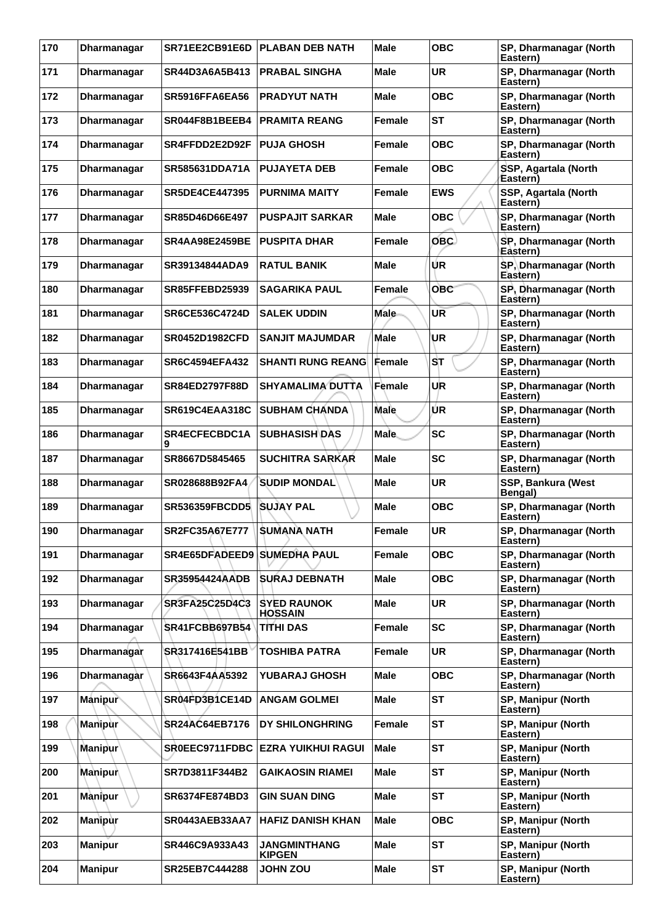| 170 | <b>Dharmanagar</b> | SR71EE2CB91E6D                     | <b>PLABAN DEB NATH</b>               | <b>Male</b>   | <b>OBC</b> | SP, Dharmanagar (North<br>Eastern) |
|-----|--------------------|------------------------------------|--------------------------------------|---------------|------------|------------------------------------|
| 171 | <b>Dharmanagar</b> | SR44D3A6A5B413                     | <b>PRABAL SINGHA</b>                 | <b>Male</b>   | <b>UR</b>  | SP, Dharmanagar (North<br>Eastern) |
| 172 | Dharmanagar        | <b>SR5916FFA6EA56</b>              | <b>PRADYUT NATH</b>                  | Male          | <b>OBC</b> | SP, Dharmanagar (North<br>Eastern) |
| 173 | Dharmanagar        | SR044F8B1BEEB4                     | <b>PRAMITA REANG</b>                 | Female        | <b>ST</b>  | SP, Dharmanagar (North<br>Eastern) |
| 174 | Dharmanagar        | SR4FFDD2E2D92F                     | <b>PUJA GHOSH</b>                    | Female        | <b>OBC</b> | SP, Dharmanagar (North<br>Eastern) |
| 175 | Dharmanagar        | SR585631DDA71A                     | <b>PUJAYETA DEB</b>                  | Female        | <b>OBC</b> | SSP, Agartala (North<br>Eastern)   |
| 176 | Dharmanagar        | <b>SR5DE4CE447395</b>              | <b>PURNIMA MAITY</b>                 | <b>Female</b> | <b>EWS</b> | SSP, Agartala (North<br>Eastern)   |
| 177 | Dharmanagar        | SR85D46D66E497                     | <b>PUSPAJIT SARKAR</b>               | <b>Male</b>   | <b>OBC</b> | SP, Dharmanagar (North<br>Eastern) |
| 178 | Dharmanagar        | <b>SR4AA98E2459BE</b>              | <b>PUSPITA DHAR</b>                  | Female        | OBC        | SP, Dharmanagar (North<br>Eastern) |
| 179 | Dharmanagar        | SR39134844ADA9                     | <b>RATUL BANIK</b>                   | <b>Male</b>   | UR         | SP, Dharmanagar (North<br>Eastern) |
| 180 | Dharmanagar        | <b>SR85FFEBD25939</b>              | <b>SAGARIKA PAUL</b>                 | Female        | <b>OBC</b> | SP, Dharmanagar (North<br>Eastern) |
| 181 | Dharmanagar        | <b>SR6CE536C4724D</b>              | <b>SALEK UDDIN</b>                   | <b>Male</b>   | <b>UR</b>  | SP, Dharmanagar (North<br>Eastern) |
| 182 | Dharmanagar        | <b>SR0452D1982CFD</b>              | <b>SANJIT MAJUMDAR</b>               | <b>Male</b>   | UR         | SP, Dharmanagar (North<br>Eastern) |
| 183 | Dharmanagar        | <b>SR6C4594EFA432</b>              | <b>SHANTI RUNG REANG Female</b>      |               | SТ         | SP, Dharmanagar (North<br>Eastern) |
| 184 | Dharmanagar        | <b>SR84ED2797F88D</b>              | <b>SHYAMALIMA DUTTA</b>              | Female        | UR         | SP, Dharmanagar (North<br>Eastern) |
| 185 | Dharmanagar        | <b>SR619C4EAA318C</b>              | <b>SUBHAM CHANDA</b>                 | <b>Male</b>   | UR         | SP, Dharmanagar (North<br>Eastern) |
| 186 | Dharmanagar        | <b>SR4ECFECBDC1A</b><br>9          | <b>SUBHASISH DAS</b>                 | <b>Male</b>   | <b>SC</b>  | SP, Dharmanagar (North<br>Eastern) |
| 187 | Dharmanagar        | SR8667D5845465                     | <b>SUCHITRA SARKAR</b>               | Male          | <b>SC</b>  | SP, Dharmanagar (North<br>Eastern) |
| 188 | <b>Dharmanagar</b> | SR028688B92FA4                     | <b>SUDIP MONDAL</b>                  | <b>Male</b>   | <b>UR</b>  | SSP, Bankura (West<br>Bengal)      |
| 189 | Dharmanagar        | <b>SR536359FBCDD5</b>              | <b>SUJAY PAL</b>                     | Male          | <b>OBC</b> | SP, Dharmanagar (North<br>Eastern) |
| 190 | Dharmanagar        | <b>SR2FC35A67E777</b>              | <b>SUMANA NATH</b>                   | Female        | <b>UR</b>  | SP, Dharmanagar (North<br>Eastern) |
| 191 | Dharmanagar        | <b>SR4E65DFADEED9 SUMEDHA PAUL</b> |                                      | <b>Female</b> | <b>OBC</b> | SP, Dharmanagar (North<br>Eastern) |
| 192 | Dharmanagar        | <b>SR35954424AADB</b>              | <b>SURAJ DEBNATH</b>                 | <b>Male</b>   | <b>OBC</b> | SP, Dharmanagar (North<br>Eastern) |
| 193 | Dharmanagar        | <b>SR3FA25C25D4C3</b>              | <b>SYED RAUNOK</b><br><b>HOSSAIN</b> | <b>Male</b>   | <b>UR</b>  | SP, Dharmanagar (North<br>Eastern) |
| 194 | Dharmanagar        | <b>SR41FCBB697B54</b>              | <b>TITHI DAS</b>                     | <b>Female</b> | <b>SC</b>  | SP, Dharmanagar (North<br>Eastern) |
| 195 | Dharmanagar        | SR317416E541BB                     | <b>TOSHIBA PATRA</b>                 | Female        | <b>UR</b>  | SP, Dharmanagar (North<br>Eastern) |
| 196 | Dharmanagàr        | SR6643F4AA5392                     | <b>YUBARAJ GHOSH</b>                 | <b>Male</b>   | <b>OBC</b> | SP, Dharmanagar (North<br>Eastern) |
| 197 | Manipur            | SR04FD3B1CE14D                     | <b>ANGAM GOLMEI</b>                  | <b>Male</b>   | <b>ST</b>  | SP, Manipur (North<br>Eastern)     |
| 198 | <b>Manipur</b>     | SR24AC64EB7176                     | DY SHILONGHRING                      | Female        | <b>ST</b>  | SP, Manipur (North<br>Eastern)     |
| 199 | <b>Manipur</b>     | SR0EEC9711FDBC                     | <b>EZRA YUIKHUI RAGUI</b>            | Male          | <b>ST</b>  | SP, Manipur (North<br>Eastern)     |
| 200 | Manipur            | SR7D3811F344B2                     | <b>GAIKAOSIN RIAMEI</b>              | <b>Male</b>   | <b>ST</b>  | SP, Manipur (North<br>Eastern)     |
| 201 | <b>Manipur</b>     | <b>SR6374FE874BD3</b>              | <b>GIN SUAN DING</b>                 | <b>Male</b>   | <b>ST</b>  | SP, Manipur (North<br>Eastern)     |
| 202 | <b>Manipur</b>     | SR0443AEB33AA7                     | <b>HAFIZ DANISH KHAN</b>             | <b>Male</b>   | <b>OBC</b> | SP, Manipur (North<br>Eastern)     |
| 203 | <b>Manipur</b>     | SR446C9A933A43                     | <b>JANGMINTHANG</b><br><b>KIPGEN</b> | <b>Male</b>   | <b>ST</b>  | SP, Manipur (North<br>Eastern)     |
| 204 | <b>Manipur</b>     | SR25EB7C444288                     | <b>JOHN ZOU</b>                      | <b>Male</b>   | <b>ST</b>  | SP, Manipur (North<br>Eastern)     |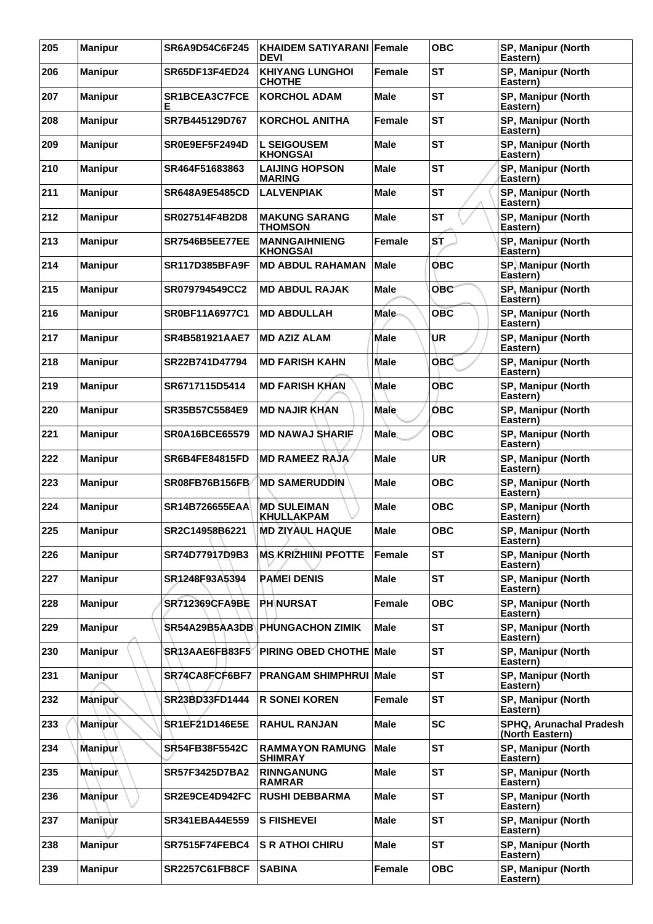| 205 | <b>Manipur</b> | SR6A9D54C6F245            | <b>KHAIDEM SATIYARANI Female</b><br><b>DEVI</b> |             | <b>OBC</b> | <b>SP, Manipur (North</b><br>Eastern)      |
|-----|----------------|---------------------------|-------------------------------------------------|-------------|------------|--------------------------------------------|
| 206 | <b>Manipur</b> | SR65DF13F4ED24            | <b>KHIYANG LUNGHOI</b><br><b>CHOTHE</b>         | Female      | <b>ST</b>  | SP, Manipur (North<br>Eastern)             |
| 207 | <b>Manipur</b> | <b>SR1BCEA3C7FCE</b><br>Е | <b>KORCHOL ADAM</b>                             | Male        | <b>ST</b>  | SP, Manipur (North<br>Eastern)             |
| 208 | <b>Manipur</b> | SR7B445129D767            | <b>KORCHOL ANITHA</b>                           | Female      | <b>ST</b>  | SP, Manipur (North<br>Eastern)             |
| 209 | <b>Manipur</b> | SR0E9EF5F2494D            | <b>L SEIGOUSEM</b><br><b>KHONGSAI</b>           | Male        | <b>ST</b>  | SP, Manipur (North<br>Eastern)             |
| 210 | <b>Manipur</b> | SR464F51683863            | <b>LAIJING HOPSON</b><br><b>MARING</b>          | <b>Male</b> | <b>ST</b>  | SP, Manipur (North<br>Eastern)             |
| 211 | <b>Manipur</b> | <b>SR648A9E5485CD</b>     | <b>LALVENPIAK</b>                               | <b>Male</b> | <b>ST</b>  | SP, Manipur (North<br>Eastern)             |
| 212 | <b>Manipur</b> | SR027514F4B2D8            | <b>MAKUNG SARANG</b><br><b>THOMSON</b>          | Male        | <b>ST</b>  | SP, Manipur (North<br>Eastern)             |
| 213 | <b>Manipur</b> | <b>SR7546B5EE77EE</b>     | <b>MANNGAIHNIENG</b><br><b>KHONGSAI</b>         | Female      | ST         | SP, Manipur (North<br>Eastern)             |
| 214 | <b>Manipur</b> | <b>SR117D385BFA9F</b>     | <b>MD ABDUL RAHAMAN</b>                         | <b>Male</b> | <b>OBC</b> | <b>SP, Manipur (North</b><br>Eastern)      |
| 215 | <b>Manipur</b> | <b>SR079794549CC2</b>     | <b>MD ABDUL RAJAK</b>                           | Male        | <b>OBC</b> | SP, Manipur (North<br>Eastern)             |
| 216 | <b>Manipur</b> | SR0BF11A6977C1            | <b>MD ABDULLAH</b>                              | <b>Male</b> | <b>OBC</b> | SP, Manipur (North<br>Eastern)             |
| 217 | <b>Manipur</b> | <b>SR4B581921AAE7</b>     | <b>MD AZIZ ALAM</b>                             | Male        | UR         | SP, Manipur (North<br>Eastern)             |
| 218 | <b>Manipur</b> | SR22B741D47794            | <b>MD FARISH KAHN</b>                           | Male        | <b>OBC</b> | SP, Manipur (North<br>Eastern)             |
| 219 | <b>Manipur</b> | SR6717115D5414            | <b>MD FARISH KHAN</b>                           | <b>Male</b> | <b>OBC</b> | SP, Manipur (North<br>Eastern)             |
| 220 | <b>Manipur</b> | SR35B57C5584E9            | <b>MD NAJIR KHAN</b>                            | Male        | <b>OBC</b> | SP, Manipur (North<br>Eastern)             |
| 221 | <b>Manipur</b> | <b>SR0A16BCE65579</b>     | <b>MD NAWAJ SHARIF</b>                          | <b>Male</b> | <b>OBC</b> | SP, Manipur (North<br>Eastern)             |
| 222 | <b>Manipur</b> | <b>SR6B4FE84815FD</b>     | <b>MD RAMEEZ RAJA</b>                           | <b>Male</b> | <b>UR</b>  | SP, Manipur (North<br>Eastern)             |
| 223 | <b>Manipur</b> | SR08FB76B156FB            | <b>MD SAMERUDDIN</b>                            | <b>Male</b> | <b>OBC</b> | SP, Manipur (North<br>Eastern)             |
| 224 | <b>Manipur</b> | <b>SR14B726655EAA</b>     | <b>MD SULEIMAN</b><br><b>KHULLAKPAM</b>         | Male        | <b>OBC</b> | SP, Manipur (North<br>Eastern)             |
| 225 | <b>Manipur</b> | SR2C14958B6221            | <b>MD ZIYAUL HAQUE</b>                          | Male        | <b>OBC</b> | SP, Manipur (North<br>Eastern)             |
| 226 | <b>Manipur</b> | SR74D77917D9B3            | <b>MS KRIZHIINI PFOTTE</b>                      | Female      | <b>ST</b>  | SP, Manipur (North<br>Eastern)             |
| 227 | <b>Manipur</b> | SR1248F93A5394            | <b>PAMEI DENIS</b>                              | Male        | <b>ST</b>  | SP, Manipur (North<br>Eastern)             |
| 228 | <b>Manipur</b> | <b>SR712369CFA9BE</b>     | <b>PHINURSAT</b>                                | Female      | <b>OBC</b> | <b>SP. Manipur (North)</b><br>Eastern)     |
| 229 | <b>Manipur</b> | <b>SR54A29B5AA3DB\</b>    | <b>PHUNGACHON ZIMIK</b>                         | Male        | <b>ST</b>  | <b>SP. Manipur (North</b><br>Eastern)      |
| 230 | <b>Manipur</b> | SR13AAE6FB83F5            | PIRING OBED CHOTHE Male                         |             | <b>ST</b>  | SP, Manipur (North<br>Eastern)             |
| 231 | <b>Manipur</b> | SR74CA8FCF6BF7            | <b>PRANGAM SHIMPHRUI Male</b>                   |             | <b>ST</b>  | SP, Manipur (North<br>Eastern)             |
| 232 | Manipur        | SR23BD33FD1444            | <b>R SONEI KOREN</b>                            | Female      | <b>ST</b>  | SP, Manipur (North<br>Eastern)             |
| 233 | <b>Manipur</b> | <b>SR1EF21D146E5E</b>     | <b>RAHUL RANJAN</b>                             | Male        | <b>SC</b>  | SPHQ, Arunachal Pradesh<br>(North Eastern) |
| 234 | <b>Manipur</b> | <b>SR54FB38F5542C</b>     | <b>RAMMAYON RAMUNG</b><br><b>SHIMRAY</b>        | Male        | <b>ST</b>  | SP, Manipur (North<br>Eastern)             |
| 235 | <b>Manipur</b> | <b>SR57F3425D7BA2</b>     | <b>RINNGANUNG</b><br><b>RAMRAR</b>              | <b>Male</b> | <b>ST</b>  | SP, Manipur (North<br>Eastern)             |
| 236 | Mànipur        | SR2E9CE4D942FC            | <b>RUSHI DEBBARMA</b>                           | <b>Male</b> | <b>ST</b>  | SP, Manipur (North<br>Eastern)             |
| 237 | <b>Manipur</b> | <b>SR341EBA44E559</b>     | <b>S FIISHEVEI</b>                              | <b>Male</b> | <b>ST</b>  | SP, Manipur (North<br>Eastern)             |
| 238 | <b>Manipur</b> | <b>SR7515F74FEBC4</b>     | <b>S R ATHOI CHIRU</b>                          | <b>Male</b> | <b>ST</b>  | SP, Manipur (North<br>Eastern)             |
| 239 | <b>Manipur</b> | <b>SR2257C61FB8CF</b>     | <b>SABINA</b>                                   | Female      | <b>OBC</b> | SP, Manipur (North<br>Eastern)             |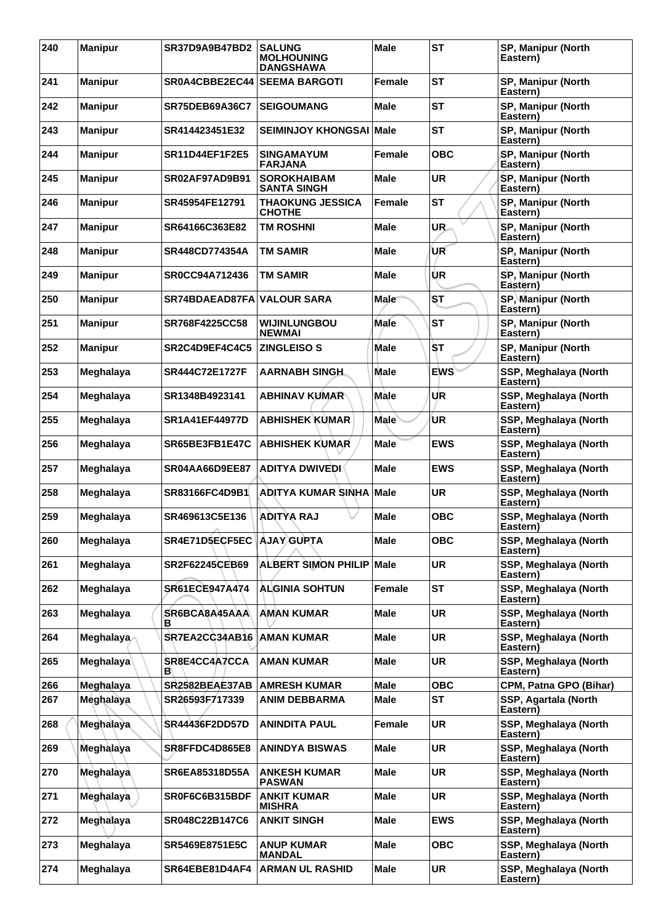| 240 | <b>Manipur</b> | <b>SR37D9A9B47BD2</b>     | <b>SALUNG</b><br><b>MOLHOUNING</b><br><b>DANGSHAWA</b> | <b>Male</b>   | <b>ST</b>  | SP, Manipur (North<br>Eastern)        |
|-----|----------------|---------------------------|--------------------------------------------------------|---------------|------------|---------------------------------------|
| 241 | <b>Manipur</b> | SR0A4CBBE2EC44            | <b>SEEMA BARGOTI</b>                                   | Female        | <b>ST</b>  | SP, Manipur (North<br>Eastern)        |
| 242 | <b>Manipur</b> | <b>SR75DEB69A36C7</b>     | <b>SEIGOUMANG</b>                                      | <b>Male</b>   | <b>ST</b>  | SP, Manipur (North<br>Eastern)        |
| 243 | <b>Manipur</b> | SR414423451E32            | <b>SEIMINJOY KHONGSAI</b>                              | <b>Male</b>   | <b>ST</b>  | SP, Manipur (North<br>Eastern)        |
| 244 | <b>Manipur</b> | <b>SR11D44EF1F2E5</b>     | <b>SINGAMAYUM</b><br><b>FARJANA</b>                    | <b>Female</b> | <b>OBC</b> | SP, Manipur (North<br>Eastern)        |
| 245 | <b>Manipur</b> | <b>SR02AF97AD9B91</b>     | <b>SOROKHAIBAM</b><br><b>SANTA SINGH</b>               | <b>Male</b>   | <b>UR</b>  | SP, Manipur (North<br>Eastern)        |
| 246 | <b>Manipur</b> | SR45954FE12791            | <b>THAOKUNG JESSICA</b><br><b>CHOTHE</b>               | Female        | <b>ST</b>  | SP, Manipur (North<br>Eastern)        |
| 247 | <b>Manipur</b> | SR64166C363E82            | <b>TM ROSHNI</b>                                       | Male          | UR.        | SP, Manipur (North<br>Eastern)        |
| 248 | <b>Manipur</b> | <b>SR448CD774354A</b>     | TM SAMIR                                               | <b>Male</b>   | UR         | SP, Manipur (North<br>Eastern)        |
| 249 | <b>Manipur</b> | SR0CC94A712436            | TM SAMIR                                               | <b>Male</b>   | UR         | SP, Manipur (North<br>Eastern)        |
| 250 | <b>Manipur</b> | SR74BDAEAD87FA            | <b>VALOUR SARA</b>                                     | Male          | ST         | <b>SP, Manipur (North</b><br>Eastern) |
| 251 | <b>Manipur</b> | SR768F4225CC58            | <b>WIJINLUNGBOU</b><br><b>NEWMAI</b>                   | Male          | <b>ST</b>  | SP, Manipur (North<br>Eastern)        |
| 252 | <b>Manipur</b> | SR2C4D9EF4C4C5            | <b>ZINGLEISO S</b>                                     | <b>Male</b>   | ŠΤ         | SP, Manipur (North<br>Eastern)        |
| 253 | Meghalaya      | SR444C72E1727F            | AARNABH SINGH                                          | <b>Male</b>   | <b>EWS</b> | SSP, Meghalaya (North<br>Eastern)     |
| 254 | Meghalaya      | SR1348B4923141            | <b>ABHINAV KUMAR</b>                                   | Màle          | UR         | SSP, Meghalaya (North<br>Eastern)     |
| 255 | Meghalaya      | <b>SR1A41EF44977D</b>     | <b>ABHISHEK KUMAR</b>                                  | <b>Male</b>   | UR         | SSP, Meghalaya (North<br>Eastern)     |
| 256 | Meghalaya      | SR65BE3FB1E47C            | <b>ABHISHEK KUMAR</b>                                  | <b>Male</b>   | <b>EWS</b> | SSP, Meghalaya (North<br>Eastern)     |
| 257 | Meghalaya      | <b>SR04AA66D9EE87</b>     | <b>ADITYA DWIVEDI</b>                                  | <b>Male</b>   | <b>EWS</b> | SSP, Meghalaya (North<br>Eastern)     |
| 258 | Meghalaya      | SR83166FC4D9B1            | ADITYA KUMAR SINHA                                     | Male          | <b>UR</b>  | SSP, Meghalaya (North<br>Eastern)     |
| 259 | Meghalaya      | SR469613C5E136            | <b>ADITYA RAJ</b>                                      | Male          | <b>OBC</b> | SSP, Meghalaya (North<br>Eastern)     |
| 260 | Meghalaya      | SR4E71D5ECF5EC AJAY GUPTA |                                                        | <b>Male</b>   | <b>OBC</b> | SSP, Meghalaya (North<br>Eastern)     |
| 261 | Meghalaya      | <b>SR2F62245CEB69</b>     | <b>ALBERT SIMON PHILIP</b>                             | <b>Male</b>   | <b>UR</b>  | SSP, Meghalaya (North<br>Eastern)     |
| 262 | Meghalaya      | SR61ECE947A474            | <b>ALGINIA SOHTUN</b>                                  | Female        | ST         | SSP, Meghalaya (North<br>Eastern)     |
| 263 | Meghalaya      | SR6BCA8A45AAA<br>в        | <b>AMAN KUMAR</b>                                      | <b>Male</b>   | <b>UR</b>  | SSP, Meghalaya (North<br>Eastern)     |
| 264 | Meghalaya      | SR7EA2CC34AB16            | <b>AMAN KUMAR</b>                                      | <b>Male</b>   | <b>UR</b>  | SSP, Meghalaya (North<br>Eastern)     |
| 265 | Meghalaya      | SR8E4CC4A7CCA<br>в        | <b>AMAN KUMAR</b>                                      | <b>Male</b>   | <b>UR</b>  | SSP, Meghalaya (North<br>Eastern)     |
| 266 | Meghalaya      | SR2582BEAE37AB            | <b>AMRESH KUMAR</b>                                    | <b>Male</b>   | <b>OBC</b> | CPM, Patna GPO (Bihar)                |
| 267 | Meghalaya      | SR26593F717339            | <b>ANIM DEBBARMA</b>                                   | <b>Male</b>   | <b>ST</b>  | SSP, Agartala (North<br>Eastern)      |
| 268 | Meghalaya      | <b>SR44436F2DD57D</b>     | <b>ANINDITA PAUL</b>                                   | Female        | <b>UR</b>  | SSP, Meghalaya (North<br>Eastern)     |
| 269 | Meghalaya      | SR8FFDC4D865E8            | <b>ANINDYA BISWAS</b>                                  | <b>Male</b>   | <b>UR</b>  | SSP, Meghalaya (North<br>Eastern)     |
| 270 | Meghalaya      | <b>SR6EA85318D55A</b>     | <b>ANKESH KUMAR</b><br><b>PASWAN</b>                   | Male          | <b>UR</b>  | SSP, Meghalaya (North<br>Eastern)     |
| 271 | Meghalaya      | SR0F6C6B315BDF            | <b>ANKIT KUMAR</b><br><b>MISHRA</b>                    | <b>Male</b>   | <b>UR</b>  | SSP, Meghalaya (North<br>Eastern)     |
| 272 | Meghalaya      | SR048C22B147C6            | <b>ANKIT SINGH</b>                                     | <b>Male</b>   | <b>EWS</b> | SSP, Meghalaya (North<br>Eastern)     |
| 273 | Meghalaya      | SR5469E8751E5C            | <b>ANUP KUMAR</b><br><b>MANDAL</b>                     | <b>Male</b>   | <b>OBC</b> | SSP, Meghalaya (North<br>Eastern)     |
| 274 | Meghalaya      | SR64EBE81D4AF4            | <b>ARMAN UL RASHID</b>                                 | <b>Male</b>   | <b>UR</b>  | SSP, Meghalaya (North<br>Eastern)     |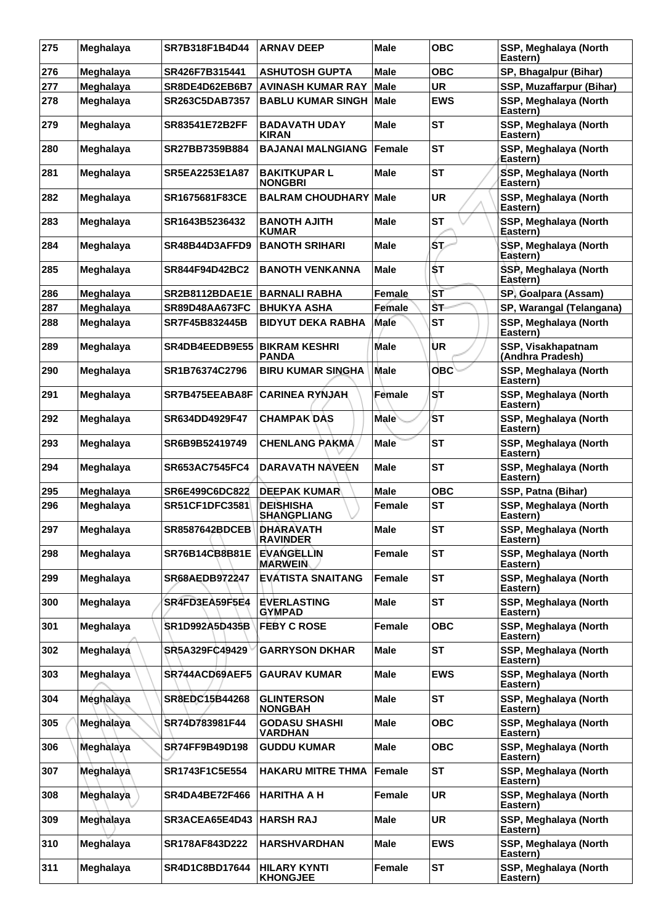| 275 | Meghalaya | SR7B318F1B4D44        | <b>ARNAV DEEP</b>                      | <b>Male</b>   | <b>OBC</b> | SSP, Meghalaya (North<br>Eastern)      |
|-----|-----------|-----------------------|----------------------------------------|---------------|------------|----------------------------------------|
| 276 | Meghalaya | SR426F7B315441        | <b>ASHUTOSH GUPTA</b>                  | <b>Male</b>   | <b>OBC</b> | SP, Bhagalpur (Bihar)                  |
| 277 | Meghalaya | SR8DE4D62EB6B7        | <b>AVINASH KUMAR RAY</b>               | <b>Male</b>   | <b>UR</b>  | SSP, Muzaffarpur (Bihar)               |
| 278 | Meghalaya | SR263C5DAB7357        | <b>BABLU KUMAR SINGH</b>               | <b>Male</b>   | <b>EWS</b> | SSP, Meghalaya (North<br>Eastern)      |
| 279 | Meghalaya | <b>SR83541E72B2FF</b> | <b>BADAVATH UDAY</b><br><b>KIRAN</b>   | Male          | <b>ST</b>  | SSP, Meghalaya (North<br>Eastern)      |
| 280 | Meghalaya | SR27BB7359B884        | <b>BAJANAI MALNGIANG</b>               | Female        | <b>ST</b>  | SSP, Meghalaya (North<br>Eastern)      |
| 281 | Meghalaya | <b>SR5EA2253E1A87</b> | <b>BAKITKUPAR L</b><br>NONGBRI         | Male          | <b>ST</b>  | SSP, Meghalaya (North<br>Eastern)      |
| 282 | Meghalaya | <b>SR1675681F83CE</b> | <b>BALRAM CHOUDHARY</b>                | Male          | <b>UR</b>  | SSP, Meghalaya (North<br>Eastern)      |
| 283 | Meghalaya | SR1643B5236432        | <b>BANOTH AJITH</b><br><b>KUMAR</b>    | <b>Male</b>   | <b>ST</b>  | SSP, Meghalaya (North<br>Eastern)      |
| 284 | Meghalaya | SR48B44D3AFFD9        | <b>BANOTH SRIHARI</b>                  | <b>Male</b>   | ŚΤ         | SSP, Meghalaya (North<br>Eastern)      |
| 285 | Meghalaya | SR844F94D42BC2        | <b>BANOTH VENKANNA</b>                 | Male          | \$T        | SSP, Meghalaya (North<br>Eastern)      |
| 286 | Meghalaya | SR2B8112BDAE1E        | <b>BARNALI RABHA</b>                   | Female        | ST         | SP, Goalpara (Assam)                   |
| 287 | Meghalaya | <b>SR89D48AA673FC</b> | <b>BHUKYA ASHA</b>                     | <b>Female</b> | ŠТ         | SP, Warangal (Telangana)               |
| 288 | Meghalaya | SR7F45B832445B        | <b>BIDYUT DEKA RABHA</b>               | Male          | <b>ST</b>  | SSP, Meghalaya (North<br>Eastern)      |
| 289 | Meghalaya | SR4DB4EEDB9E55        | <b>BIKRAM KESHRI</b><br>PANDA          | <b>Male</b>   | UR         | SSP, Visakhapatnam<br>(Andhra Pradesh) |
| 290 | Meghalaya | SR1B76374C2796        | <b>BIRU KUMAR SINGHA</b>               | <b>Male</b>   | <b>OBC</b> | SSP, Meghalaya (North<br>Eastern)      |
| 291 | Meghalaya | SR7B475EEABA8F        | <b>CARINEA RYNJAH</b>                  | Female        | SТ         | SSP, Meghalaya (North<br>Eastern)      |
| 292 | Meghalaya | SR634DD4929F47        | <b>CHAMPAK DAS</b>                     | <b>Male</b>   | <b>ST</b>  | SSP, Meghalaya (North<br>Eastern)      |
| 293 | Meghalaya | SR6B9B52419749        | <b>CHENLANG PAKMA</b>                  | <b>Male</b>   | <b>ST</b>  | SSP, Meghalaya (North<br>Eastern)      |
| 294 | Meghalaya | <b>SR653AC7545FC4</b> | <b>DARAVATH NAVEEN</b>                 | Male          | <b>ST</b>  | SSP, Meghalaya (North<br>Eastern)      |
| 295 | Meghalaya | SR6E499C6DC822        | <b>DEEPAK KUMAR</b>                    | <b>Male</b>   | <b>OBC</b> | SSP, Patna (Bihar)                     |
| 296 | Meghalaya | <b>SR51CF1DFC3581</b> | <b>DEISHISHA</b><br><b>SHANGPLIANG</b> | Female        | <b>ST</b>  | SSP, Meghalaya (North<br>Eastern)      |
| 297 | Meghalaya | <b>SR8587642BDCEB</b> | <b>DHARAVATH</b><br><b>RAVINDER</b>    | Male          | <b>ST</b>  | SSP, Meghalaya (North<br>Eastern)      |
| 298 | Meghalaya | SR76B14CB8B81E        | <b>EVANGELLIN</b><br><b>MARWEIN</b>    | <b>Female</b> | <b>ST</b>  | SSP, Meghalaya (North<br>Eastern)      |
| 299 | Meghalaya | SR68AEDB972247        | <b>EVATISTA SNAITANG</b>               | <b>Female</b> | <b>ST</b>  | SSP, Meghalaya (North<br>Eastern)      |
| 300 | Meghalaya | SR4FD3EA59F5E4        | <b>EVERLASTING</b><br><b>GYMPAD</b>    | Male          | <b>ST</b>  | SSP, Meghalaya (North<br>Eastern)      |
| 301 | Meghalaya | <b>SR1D992A5D435B</b> | <b>FEBY C ROSE</b>                     | <b>Female</b> | <b>OBC</b> | SSP, Meghalaya (North<br>Eastern)      |
| 302 | Meghalaya | SR5A329FC49429        | <b>GARRYSON DKHAR</b>                  | <b>Male</b>   | <b>ST</b>  | SSP, Meghalaya (North<br>Eastern)      |
| 303 | Meghalaya | SR744ACD69AEF5        | <b>GAURAV KUMAR</b>                    | Male          | <b>EWS</b> | SSP, Meghalaya (North<br>Eastern)      |
| 304 | Meghalaya | SR8EDC15B44268        | <b>GLINTERSON</b><br><b>NONGBAH</b>    | <b>Male</b>   | <b>ST</b>  | SSP, Meghalaya (North<br>Eastern)      |
| 305 | Meghalaya | SR74D783981F44        | <b>GODASU SHASHI</b><br><b>VARDHAN</b> | <b>Male</b>   | <b>OBC</b> | SSP, Meghalaya (North<br>Eastern)      |
| 306 | Meghalaya | SR74FF9B49D198        | <b>GUDDU KUMAR</b>                     | <b>Male</b>   | <b>OBC</b> | SSP, Meghalaya (North<br>Eastern)      |
| 307 | Meghalaya | <b>SR1743F1C5E554</b> | <b>HAKARU MITRE THMA</b>               | <b>Female</b> | <b>ST</b>  | SSP, Meghalaya (North<br>Eastern)      |
| 308 | Meghalaya | <b>SR4DA4BE72F466</b> | <b>HARITHA A H</b>                     | <b>Female</b> | <b>UR</b>  | SSP, Meghalaya (North<br>Eastern)      |
| 309 | Meghalaya | SR3ACEA65E4D43        | <b>HARSH RAJ</b>                       | <b>Male</b>   | <b>UR</b>  | SSP, Meghalaya (North<br>Eastern)      |
| 310 | Meghalaya | SR178AF843D222        | <b>HARSHVARDHAN</b>                    | <b>Male</b>   | <b>EWS</b> | SSP, Meghalaya (North<br>Eastern)      |
| 311 | Meghalaya | SR4D1C8BD17644        | <b>HILARY KYNTI</b><br><b>KHONGJEE</b> | Female        | <b>ST</b>  | SSP, Meghalaya (North<br>Eastern)      |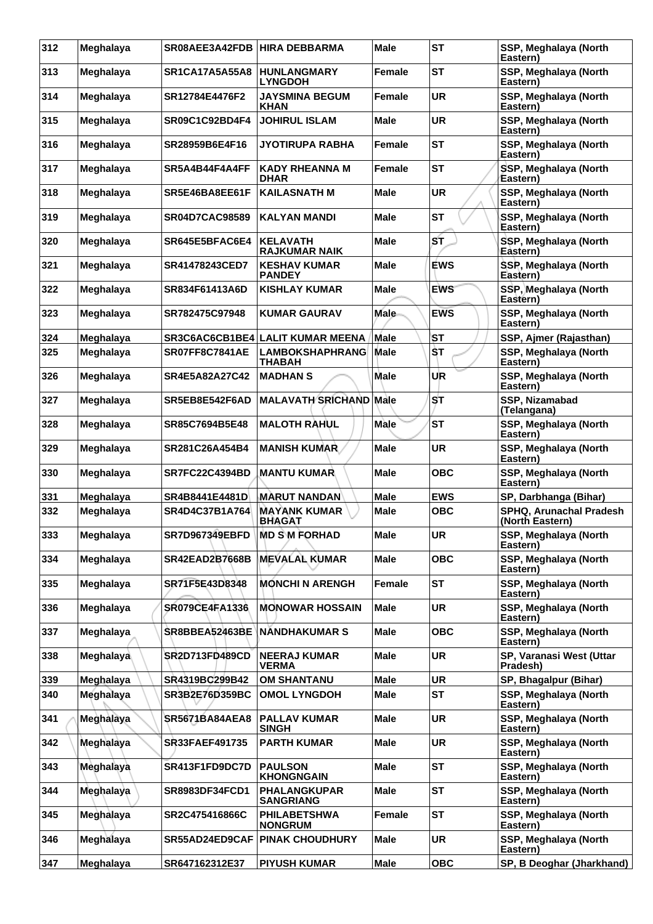| 312 | Meghalaya | SR08AEE3A42FDB HIRA DEBBARMA |                                         | <b>Male</b>   | <b>ST</b>  | SSP, Meghalaya (North<br>Eastern)          |
|-----|-----------|------------------------------|-----------------------------------------|---------------|------------|--------------------------------------------|
| 313 | Meghalaya | <b>SR1CA17A5A55A8</b>        | <b>HUNLANGMARY</b><br><b>LYNGDOH</b>    | <b>Female</b> | <b>ST</b>  | SSP, Meghalaya (North<br>Eastern)          |
| 314 | Meghalaya | SR12784E4476F2               | <b>JAYSMINA BEGUM</b><br><b>KHAN</b>    | Female        | <b>UR</b>  | SSP, Meghalaya (North<br>Eastern)          |
| 315 | Meghalaya | SR09C1C92BD4F4               | <b>JOHIRUL ISLAM</b>                    | <b>Male</b>   | <b>UR</b>  | SSP, Meghalaya (North<br>Eastern)          |
| 316 | Meghalaya | SR28959B6E4F16               | <b>JYOTIRUPA RABHA</b>                  | <b>Female</b> | <b>ST</b>  | SSP, Meghalaya (North<br>Eastern)          |
| 317 | Meghalaya | SR5A4B44F4A4FF               | <b>KADY RHEANNA M</b><br><b>DHAR</b>    | Female        | <b>ST</b>  | SSP, Meghalaya (North<br>Eastern)          |
| 318 | Meghalaya | SR5E46BA8EE61F               | <b>KAILASNATH M</b>                     | Male          | <b>UR</b>  | SSP, Meghalaya (North<br>Eastern)          |
| 319 | Meghalaya | <b>SR04D7CAC98589</b>        | <b>KALYAN MANDI</b>                     | <b>Male</b>   | <b>ST</b>  | SSP, Meghalaya (North<br>Eastern)          |
| 320 | Meghalaya | SR645E5BFAC6E4               | <b>KELAVATH</b><br><b>RAJKUMAR NAIK</b> | Male          | ST         | SSP, Meghalaya (North<br>Eastern)          |
| 321 | Meghalaya | SR41478243CED7               | <b>KESHAV KUMAR</b><br><b>PANDEY</b>    | <b>Male</b>   | <b>EWS</b> | SSP, Meghalaya (North<br>Eastern)          |
| 322 | Meghalaya | SR834F61413A6D               | <b>KISHLAY KUMAR</b>                    | <b>Male</b>   | <b>EWS</b> | SSP, Meghalaya (North<br>Eastern)          |
| 323 | Meghalaya | SR782475C97948               | <b>KUMAR GAURAV</b>                     | Male          | <b>EWS</b> | SSP, Meghalaya (North<br>Eastern)          |
| 324 | Meghalaya |                              | SR3C6AC6CB1BE4 LALIT KUMAR MEENA        | ∣Male         | ۱SТ        | SSP, Ajmer (Rajasthan)                     |
| 325 | Meghalaya | <b>SR07FF8C7841AE</b>        | <b>LAMBOKSHAPHRANG</b><br>THABAH        | <b>Male</b>   | ŚТ         | SSP, Meghalaya (North<br>Eastern)          |
| 326 | Meghalaya | SR4E5A82A27C42               | <b>MADHAN S</b>                         | Male          | UR         | SSP, Meghalaya (North<br>Eastern)          |
| 327 | Meghalaya | SR5EB8E542F6AD               | <b>MALAVATH SRICHAND Male</b>           |               | SТ         | SSP, Nizamabad<br>(Telangana)              |
| 328 | Meghalaya | SR85C7694B5E48               | <b>MALOTH RAHUL</b>                     | <b>Male</b>   | <b>ST</b>  | SSP, Meghalaya (North<br>Eastern)          |
| 329 | Meghalaya | SR281C26A454B4               | <b>MANISH KUMAR</b>                     | Male          | <b>UR</b>  | SSP, Meghalaya (North<br>Eastern)          |
| 330 | Meghalaya | <b>SR7FC22C4394BD</b>        | <b>MANTU KUMAR</b>                      | Male          | <b>OBC</b> | SSP, Meghalaya (North<br>Eastern)          |
| 331 | Meghalaya | SR4B8441E4481D               | <b>MARUT NANDAN</b>                     | Male          | <b>EWS</b> | SP, Darbhanga (Bihar)                      |
| 332 | Meghalaya | SR4D4C37B1A764               | <b>MAYANK KUMAR</b><br><b>BHAGAT</b>    | <b>Male</b>   | <b>OBC</b> | SPHQ, Arunachal Pradesh<br>(North Eastern) |
| 333 | Meghalaya | SR7D967349EBFD               | <b>MD S M FORHAD</b>                    | <b>Male</b>   | <b>UR</b>  | SSP, Meghalaya (North<br>Eastern)          |
| 334 | Meghalaya | <b>SR42EAD2B7668B</b>        | <b>MEVALAL KUMAR</b>                    | <b>Male</b>   | <b>OBC</b> | SSP, Meghalaya (North<br>Eastern)          |
| 335 | Meghalaya | SR71F5E43D8348               | <b>MONCHI N ARENGH</b>                  | <b>Female</b> | <b>ST</b>  | SSP, Meghalaya (North<br>Eastern)          |
| 336 | Meghalaya | <b>SR079CE4FA1336</b>        | <b>MONOWAR HOSSAIN</b>                  | Male          | <b>UR</b>  | SSP, Meghalaya (North<br>Eastern)          |
| 337 | Meghalaya | <b>SR8BBEA52463BE</b>        | <b>NANDHAKUMAR S</b>                    | <b>Male</b>   | <b>OBC</b> | SSP, Meghalaya (North<br>Eastern)          |
| 338 | Meghalaya | <b>SR2D713FD489CD</b>        | <b>NEERAJ KUMAR</b><br><b>VERMA</b>     | <b>Male</b>   | <b>UR</b>  | SP, Varanasi West (Uttar<br>Pradesh)       |
| 339 | Meghalaya | SR4319BC299B42               | <b>OM SHANTANU</b>                      | <b>Male</b>   | <b>UR</b>  | SP, Bhagalpur (Bihar)                      |
| 340 | Meghalaya | SR3B2E76D359BC               | <b>OMOL LYNGDOH</b>                     | <b>Male</b>   | <b>ST</b>  | SSP, Meghalaya (North<br>Eastern)          |
| 341 | Meghalaya | <b>SR5671BA84AEA8</b>        | <b>PALLAV KUMAR</b><br><b>SINGH</b>     | <b>Male</b>   | <b>UR</b>  | SSP, Meghalaya (North<br>Eastern)          |
| 342 | Meghalaya | SR33FAEF491735               | <b>PARTH KUMAR</b>                      | <b>Male</b>   | <b>UR</b>  | SSP, Meghalaya (North<br>Eastern)          |
| 343 | Meghalaya | SR413F1FD9DC7D               | <b>PAULSON</b><br><b>KHONGNGAIN</b>     | <b>Male</b>   | <b>ST</b>  | SSP, Meghalaya (North<br>Eastern)          |
| 344 | Meghalaya | <b>SR8983DF34FCD1</b>        | <b>PHALANGKUPAR</b><br><b>SANGRIANG</b> | Male          | <b>ST</b>  | SSP, Meghalaya (North<br>Eastern)          |
| 345 | Meghalaya | SR2C475416866C               | <b>PHILABETSHWA</b><br><b>NONGRUM</b>   | <b>Female</b> | <b>ST</b>  | SSP, Meghalaya (North<br>Eastern)          |
| 346 | Meghalaya | SR55AD24ED9CAF               | <b>PINAK CHOUDHURY</b>                  | Male          | <b>UR</b>  | SSP, Meghalaya (North<br>Eastern)          |
| 347 | Meghalaya | SR647162312E37               | <b>PIYUSH KUMAR</b>                     | <b>Male</b>   | <b>OBC</b> | SP, B Deoghar (Jharkhand)                  |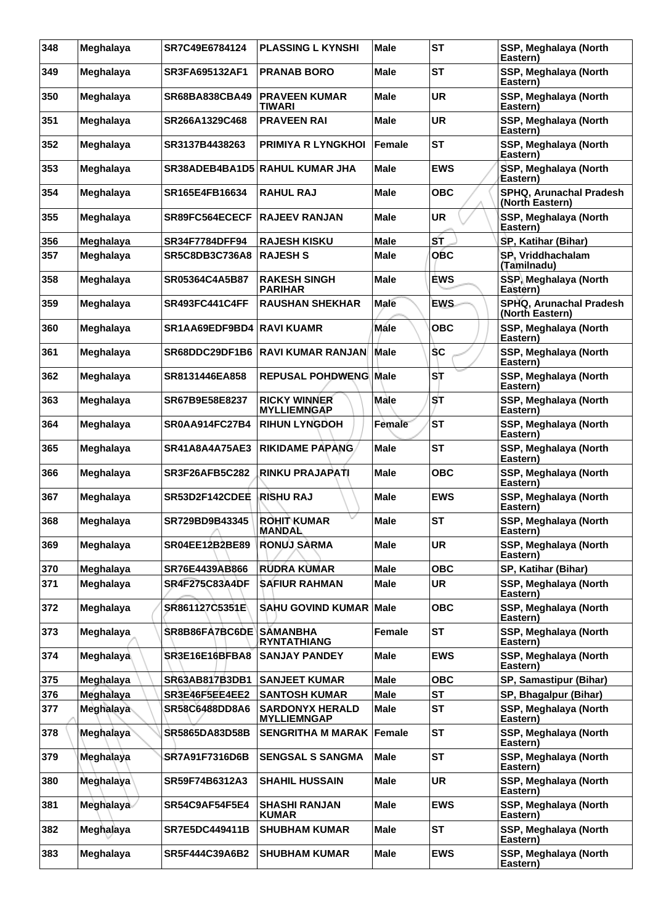| 348 | Meghalaya | SR7C49E6784124                   | <b>PLASSING L KYNSHI</b>                     | <b>Male</b>   | <b>ST</b>  | SSP, Meghalaya (North<br>Eastern)          |
|-----|-----------|----------------------------------|----------------------------------------------|---------------|------------|--------------------------------------------|
| 349 | Meghalaya | <b>SR3FA695132AF1</b>            | <b>PRANAB BORO</b>                           | Male          | <b>ST</b>  | SSP, Meghalaya (North<br>Eastern)          |
| 350 | Meghalaya | <b>SR68BA838CBA49</b>            | <b>PRAVEEN KUMAR</b><br><b>TIWARI</b>        | Male          | <b>UR</b>  | SSP, Meghalaya (North<br>Eastern)          |
| 351 | Meghalaya | SR266A1329C468                   | <b>PRAVEEN RAI</b>                           | Male          | <b>UR</b>  | SSP, Meghalaya (North<br>Eastern)          |
| 352 | Meghalaya | SR3137B4438263                   | <b>PRIMIYA R LYNGKHOI</b>                    | Female        | <b>ST</b>  | SSP, Meghalaya (North<br>Eastern)          |
| 353 | Meghalaya |                                  | <b>SR38ADEB4BA1D5 RAHUL KUMAR JHA</b>        | Male          | <b>EWS</b> | SSP, Meghalaya (North<br>Eastern)          |
| 354 | Meghalaya | SR165E4FB16634                   | <b>RAHUL RAJ</b>                             | Male          | <b>OBC</b> | SPHQ, Arunachal Pradesh<br>(North Eastern) |
| 355 | Meghalaya | SR89FC564ECECF                   | <b>RAJEEV RANJAN</b>                         | <b>Male</b>   | <b>UR</b>  | SSP, Meghalaya (North<br>Eastern)          |
| 356 | Meghalaya | <b>SR34F7784DFF94</b>            | <b>RAJESH KISKU</b>                          | Male          | ST         | SP, Katihar (Bihar)                        |
| 357 | Meghalaya | SR5C8DB3C736A8                   | <b>RAJESH S</b>                              | <b>Male</b>   | <b>OBC</b> | SP, Vriddhachalam<br>(Tamilnadu)           |
| 358 | Meghalaya | SR05364C4A5B87                   | <b>RAKESH SINGH</b><br><b>PARIHAR</b>        | <b>Male</b>   | <b>EWS</b> | SSP, Meghalaya (North<br>Eastern)          |
| 359 | Meghalaya | <b>SR493FC441C4FF</b>            | <b>RAUSHAN SHEKHAR</b>                       | <b>Male</b>   | <b>EWS</b> | SPHQ, Arunachal Pradesh<br>(North Eastern) |
| 360 | Meghalaya | <b>SR1AA69EDF9BD4 RAVI KUAMR</b> |                                              | <b>Mále</b>   | <b>OBC</b> | SSP, Meghalaya (North<br>Eastern)          |
| 361 | Meghalaya | SR68DDC29DF1B6                   | <b>RAVI KUMAR RANJAN</b>                     | <b>Male</b>   | <b>SC</b>  | SSP, Meghalaya (North<br>Eastern)          |
| 362 | Meghalaya | SR8131446EA858                   | <b>REPUSAL POHDWENG Male</b>                 |               | ST         | SSP, Meghalaya (North<br>Eastern)          |
| 363 | Meghalaya | SR67B9E58E8237                   | <b>RICKY WINNER</b><br><b>MYLLIEMNGAP</b>    | Male          | SТ         | SSP, Meghalaya (North<br>Eastern)          |
| 364 | Meghalaya | SR0AA914FC27B4                   | <b>RIHUN LYNGDOH</b>                         | Female        | <b>ST</b>  | SSP, Meghalaya (North<br>Eastern)          |
| 365 | Meghalaya | <b>SR41A8A4A75AE3</b>            | <b>RIKIDAME PAPANG</b>                       | <b>Male</b>   | <b>ST</b>  | SSP, Meghalaya (North<br>Eastern)          |
| 366 | Meghalaya | <b>SR3F26AFB5C282</b>            | RINKU PRAJAPATI                              | Male          | <b>OBC</b> | SSP, Meghalaya (North<br>Eastern)          |
| 367 | Meghalaya | SR53D2F142CDEE                   | <b>RISHU RAJ</b>                             | <b>Male</b>   | <b>EWS</b> | SSP, Meghalaya (North<br>Eastern)          |
| 368 | Meghalaya | SR729BD9B43345<br>$\sim$         | ROHIT KUMAR<br><b>MANDAL</b>                 | Male          | <b>ST</b>  | SSP, Meghalaya (North<br>Eastern)          |
| 369 | Meghalaya | SR04EE12B2BE89                   | <b>RONUJ SARMA</b>                           | Male          | <b>UR</b>  | SSP, Meghalaya (North<br>Eastern)          |
| 370 | Meghalaya | SR76E4439AB866                   | RUDRA KUMAR                                  | <b>Male</b>   | <b>OBC</b> | SP, Katihar (Bihar)                        |
| 371 | Meghalaya | <b>SR4F275C83A4DF</b>            | <b>SAFIUR RAHMAN</b>                         | <b>Male</b>   | <b>UR</b>  | SSP, Meghalaya (North<br>Eastern)          |
| 372 | Meghalaya | SR861127C5351E                   | <b>SAHU GOVIND KUMAR Male</b>                |               | <b>OBC</b> | SSP, Meghalaya (North<br>Eastern)          |
| 373 | Meghalaya | SR8B86FA7BC6DE SÄMANBHA          | RYNTATHIANG                                  | <b>Female</b> | <b>ST</b>  | SSP, Meghalaya (North<br>Eastern)          |
| 374 | Meghalaya | SR3E16E16BFBA8                   | <b>SANJAY PANDEY</b>                         | <b>Male</b>   | <b>EWS</b> | SSP, Meghalaya (North<br>Eastern)          |
| 375 | Meghalaya | SR63AB817B3DB1                   | <b>SANJEET KUMAR</b>                         | <b>Male</b>   | <b>OBC</b> | SP, Samastipur (Bihar)                     |
| 376 | Meghalaya | SR3E46F5EE4EE2                   | <b>SANTOSH KUMAR</b>                         | <b>Male</b>   | <b>ST</b>  | SP, Bhagalpur (Bihar)                      |
| 377 | Meghalaya | SR58C6488DD8A6                   | <b>SARDONYX HERALD</b><br><b>MYLLIEMNGAP</b> | <b>Male</b>   | <b>ST</b>  | SSP, Meghalaya (North<br>Eastern)          |
| 378 | Meghalaya | SR5865DA83D58B                   | <b>SENGRITHA M MARAK</b>                     | <b>Female</b> | <b>ST</b>  | SSP, Meghalaya (North<br>Eastern)          |
| 379 | Meghalaya | SR7A91F7316D6B                   | <b>SENGSAL S SANGMA</b>                      | <b>Male</b>   | <b>ST</b>  | SSP, Meghalaya (North<br>Eastern)          |
| 380 | Meghalaya | SR59F74B6312A3                   | <b>SHAHIL HUSSAIN</b>                        | <b>Male</b>   | <b>UR</b>  | SSP, Meghalaya (North<br>Eastern)          |
| 381 | Meghalaya | SR54C9AF54F5E4                   | <b>SHASHI RANJAN</b><br><b>KUMAR</b>         | <b>Male</b>   | <b>EWS</b> | SSP, Meghalaya (North<br>Eastern)          |
| 382 | Meghalaya | SR7E5DC449411B                   | <b>SHUBHAM KUMAR</b>                         | <b>Male</b>   | <b>ST</b>  | SSP, Meghalaya (North<br>Eastern)          |
| 383 | Meghalaya | SR5F444C39A6B2                   | <b>SHUBHAM KUMAR</b>                         | <b>Male</b>   | <b>EWS</b> | SSP, Meghalaya (North<br>Eastern)          |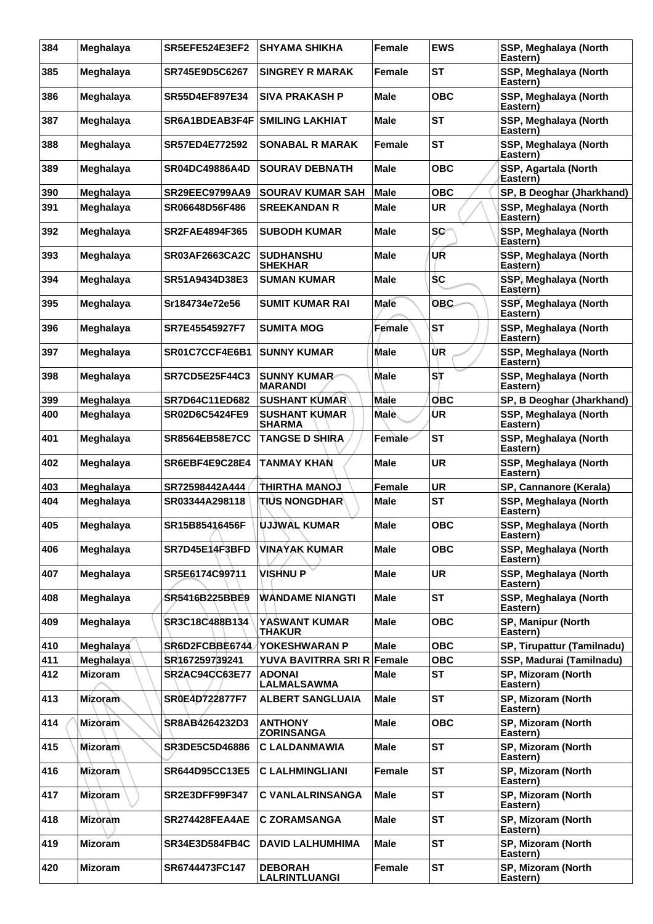| 384 | Meghalaya      | SR5EFE524E3EF2        | <b>SHYAMA SHIKHA</b>                   | <b>Female</b> | <b>EWS</b> | SSP, Meghalaya (North<br>Eastern) |
|-----|----------------|-----------------------|----------------------------------------|---------------|------------|-----------------------------------|
| 385 | Meghalaya      | SR745E9D5C6267        | <b>SINGREY R MARAK</b>                 | Female        | <b>ST</b>  | SSP, Meghalaya (North<br>Eastern) |
| 386 | Meghalaya      | <b>SR55D4EF897E34</b> | <b>SIVA PRAKASH P</b>                  | <b>Male</b>   | <b>OBC</b> | SSP, Meghalaya (North<br>Eastern) |
| 387 | Meghalaya      | SR6A1BDEAB3F4F        | <b>SMILING LAKHIAT</b>                 | Male          | <b>ST</b>  | SSP, Meghalaya (North<br>Eastern) |
| 388 | Meghalaya      | <b>SR57ED4E772592</b> | <b>SONABAL R MARAK</b>                 | <b>Female</b> | <b>ST</b>  | SSP, Meghalaya (North<br>Eastern) |
| 389 | Meghalaya      | <b>SR04DC49886A4D</b> | <b>SOURAV DEBNATH</b>                  | Male          | <b>OBC</b> | SSP, Agartala (North<br>Eastern)  |
| 390 | Meghalaya      | <b>SR29EEC9799AA9</b> | <b>SOURAV KUMAR SAH</b>                | <b>Male</b>   | <b>OBC</b> | SP, B Deoghar (Jharkhand)         |
| 391 | Meghalaya      | SR06648D56F486        | <b>SREEKANDAN R</b>                    | <b>Male</b>   | <b>UR</b>  | SSP, Meghalaya (North<br>Eastern) |
| 392 | Meghalaya      | <b>SR2FAE4894F365</b> | <b>SUBODH KUMAR</b>                    | Male          | <b>SC</b>  | SSP, Meghalaya (North<br>Eastern) |
| 393 | Meghalaya      | <b>SR03AF2663CA2C</b> | <b>SUDHANSHU</b><br><b>SHEKHAR</b>     | <b>Male</b>   | UŔ         | SSP, Meghalaya (North<br>Eastern) |
| 394 | Meghalaya      | SR51A9434D38E3        | <b>SUMAN KUMAR</b>                     | <b>Male</b>   | <b>SC</b>  | SSP, Meghalaya (North<br>Eastern) |
| 395 | Meghalaya      | Sr184734e72e56        | SUMIT KUMAR RAI                        | Male          | <b>OBC</b> | SSP, Meghalaya (North<br>Eastern) |
| 396 | Meghalaya      | SR7E45545927F7        | <b>SUMITA MOG</b>                      | Female        | <b>ST</b>  | SSP, Meghalaya (North<br>Eastern) |
| 397 | Meghalaya      | SR01C7CCF4E6B1        | <b>SUNNY KUMAR</b>                     | <b>Male</b>   | ÙR         | SSP, Meghalaya (North<br>Eastern) |
| 398 | Meghalaya      | <b>SR7CD5E25F44C3</b> | <b>SUNNY KUMAR-</b><br><b>MARANDI</b>  | <b>Male</b>   | ST         | SSP, Meghalaya (North<br>Eastern) |
| 399 | Meghalaya      | <b>SR7D64C11ED682</b> | <b>SUSHANT KUMAR</b>                   | Male          | <b>OBC</b> | SP, B Deoghar (Jharkhand)         |
| 400 | Meghalaya      | <b>SR02D6C5424FE9</b> | <b>SUSHANT KUMAR</b><br><b>SHARMA</b>  | Male          | ÙR         | SSP, Meghalaya (North<br>Eastern) |
| 401 | Meghalaya      | <b>SR8564EB58E7CC</b> | <b>TANGSE D SHIRA</b>                  | Female        | <b>ST</b>  | SSP, Meghalaya (North<br>Eastern) |
| 402 | Meghalaya      | SR6EBF4E9C28E4        | <b>TANMAY KHAN</b>                     | <b>Male</b>   | <b>UR</b>  | SSP, Meghalaya (North<br>Eastern) |
| 403 | Meghalaya      | SR72598442A444        | LOUAN AHTAIHT                          | <b>Female</b> | <b>UR</b>  | SP, Cannanore (Kerala)            |
| 404 | Meghalaya      | SR03344A298118        | <b>TIUS NONGDHAR\</b>                  | Male          | <b>ST</b>  | SSP, Meghalaya (North<br>Eastern) |
| 405 | Meghalaya      | SR15B85416456F        | UJJWAL KUMAR                           | <b>Male</b>   | <b>OBC</b> | SSP, Meghalaya (North<br>Eastern) |
| 406 | Meghalaya      | SR7D45E14F3BFD        | <b>VINAYAK KUMAR</b>                   | <b>Male</b>   | <b>OBC</b> | SSP, Meghalaya (North<br>Eastern) |
| 407 | Meghalaya      | SR5E6174C99711        | <b>VISHNUP</b>                         | <b>Male</b>   | <b>UR</b>  | SSP, Meghalaya (North<br>Eastern) |
| 408 | Meghalaya      | SR5416B225BBE9        | <b>WANDAME NIANGTI</b>                 | <b>Male</b>   | <b>ST</b>  | SSP, Meghalaya (North<br>Eastern) |
| 409 | Meghalaya      | SR3C18C488B134        | <b>YASWANT KUMAR</b><br><b>THAKUR</b>  | <b>Male</b>   | <b>OBC</b> | SP, Manipur (North<br>Eastern)    |
| 410 | Meghalaya      | SR6D2FCBBE6744        | <b>YOKESHWARAN P</b>                   | <b>Male</b>   | <b>OBC</b> | SP, Tirupattur (Tamilnadu)        |
| 411 | Meghalaya      | SR167259739241        | YUVA BAVITRRA SRI R Female             |               | <b>OBC</b> | SSP, Madurai (Tamilnadu)          |
| 412 | <b>Mizoram</b> | <b>SR2AC94CC63E77</b> | <b>ADONAI</b><br><b>LALMALSAWMA</b>    | <b>Male</b>   | <b>ST</b>  | SP, Mizoram (North<br>Eastern)    |
| 413 | <b>Mizoram</b> | SR0E4D722877F7        | <b>ALBERT SANGLUAIA</b>                | <b>Male</b>   | <b>ST</b>  | SP, Mizoram (North<br>Eastern)    |
| 414 | <b>Mizoram</b> | SR8AB4264232D3        | <b>ANTHONY</b><br><b>ZORINSANGA</b>    | <b>Male</b>   | <b>OBC</b> | SP, Mizoram (North<br>Eastern)    |
| 415 | Mizoram        | <b>SR3DE5C5D46886</b> | C LALDANMAWIA                          | <b>Male</b>   | <b>ST</b>  | SP, Mizoram (North<br>Eastern)    |
| 416 | Mizoram        | <b>SR644D95CC13E5</b> | <b>C LALHMINGLIANI</b>                 | <b>Female</b> | <b>ST</b>  | SP, Mizoram (North<br>Eastern)    |
| 417 | Mizoram        | SR2E3DFF99F347        | <b>C VANLALRINSANGA</b>                | <b>Male</b>   | <b>ST</b>  | SP, Mizoram (North<br>Eastern)    |
| 418 | <b>Mizòram</b> | SR274428FEA4AE        | C ZORAMSANGA                           | <b>Male</b>   | <b>ST</b>  | SP, Mizoram (North<br>Eastern)    |
| 419 | <b>Mizoram</b> | <b>SR34E3D584FB4C</b> | <b>DAVID LALHUMHIMA</b>                | <b>Male</b>   | <b>ST</b>  | SP, Mizoram (North<br>Eastern)    |
| 420 | <b>Mizoram</b> | SR6744473FC147        | <b>DEBORAH</b><br><b>LALRINTLUANGI</b> | Female        | <b>ST</b>  | SP, Mizoram (North<br>Eastern)    |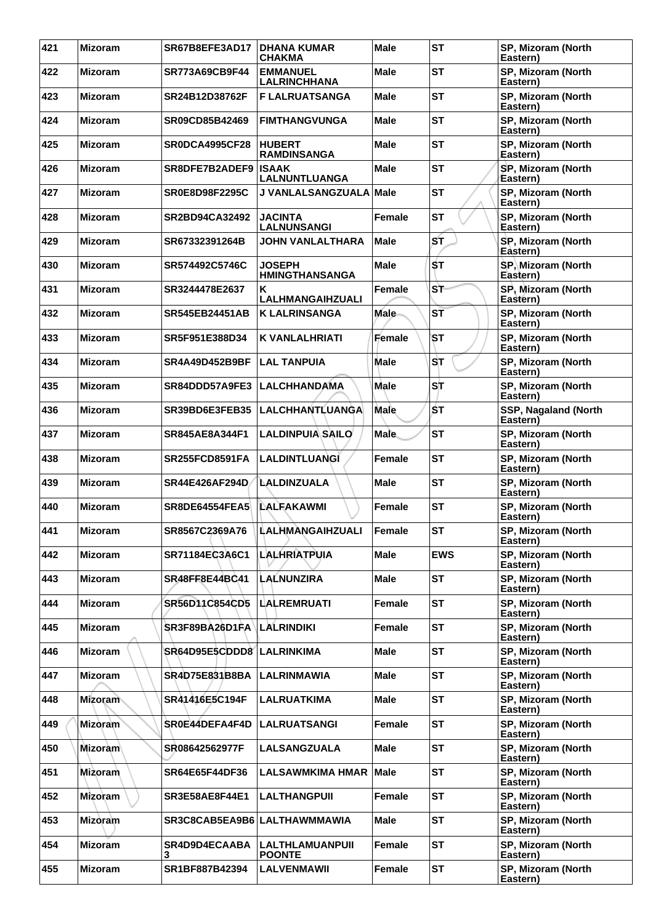| 421 | <b>Mizoram</b> | SR67B8EFE3AD17            | <b>DHANA KUMAR</b><br><b>CHAKMA</b>     | <b>Male</b>   | <b>ST</b>  | SP, Mizoram (North<br>Eastern)   |
|-----|----------------|---------------------------|-----------------------------------------|---------------|------------|----------------------------------|
| 422 | <b>Mizoram</b> | SR773A69CB9F44            | <b>EMMANUEL</b><br><b>LALRINCHHANA</b>  | <b>Male</b>   | <b>ST</b>  | SP, Mizoram (North<br>Eastern)   |
| 423 | <b>Mizoram</b> | SR24B12D38762F            | <b>F LALRUATSANGA</b>                   | <b>Male</b>   | <b>ST</b>  | SP, Mizoram (North<br>Eastern)   |
| 424 | <b>Mizoram</b> | SR09CD85B42469            | <b>FIMTHANGVUNGA</b>                    | <b>Male</b>   | <b>ST</b>  | SP, Mizoram (North<br>Eastern)   |
| 425 | <b>Mizoram</b> | SR0DCA4995CF28            | <b>HUBERT</b><br><b>RAMDINSANGA</b>     | <b>Male</b>   | <b>ST</b>  | SP, Mizoram (North<br>Eastern)   |
| 426 | <b>Mizoram</b> | SR8DFE7B2ADEF9            | <b>ISAAK</b><br>LALNUNTLUANGA           | <b>Male</b>   | <b>ST</b>  | SP, Mizoram (North<br>Eastern)   |
| 427 | <b>Mizoram</b> | <b>SR0E8D98F2295C</b>     | <b>J VANLALSANGZUALA</b>                | <b>Male</b>   | <b>ST</b>  | SP, Mizoram (North<br>Eastern)   |
| 428 | <b>Mizoram</b> | SR2BD94CA32492            | <b>JACINTA</b><br><b>LALNUNSANGI</b>    | Female        | <b>ST</b>  | SP, Mizoram (North<br>Eastern)   |
| 429 | <b>Mizoram</b> | SR67332391264B            | JOHN VANLALTHARA                        | Male          | ST         | SP, Mizoram (North<br>Eastern)   |
| 430 | <b>Mizoram</b> | SR574492C5746C            | <b>JOSEPH</b><br><b>HMINGTHANSANGA</b>  | <b>Male</b>   | ŚТ         | SP, Mizoram (North<br>Eastern)   |
| 431 | <b>Mizoram</b> | SR3244478E2637            | K<br>LALHMANGAIHZUALI                   | Female        | ST         | SP, Mizoram (North<br>Eastern)   |
| 432 | <b>Mizoram</b> | <b>SR545EB24451AB</b>     | <b>K LALRINSANGA</b>                    | <b>Male</b>   | ST         | SP, Mizoram (North<br>Eastern)   |
| 433 | <b>Mizoram</b> | SR5F951E388D34            | <b>K VANLALHRIATI</b>                   | Female        | ST         | SP, Mizoram (North<br>Eastern)   |
| 434 | <b>Mizoram</b> | <b>SR4A49D452B9BF</b>     | <b>LAL TANPUIA</b>                      | Male          | ST         | SP, Mizoram (North<br>Eastern)   |
| 435 | <b>Mizoram</b> | SR84DDD57A9FE3            | <b>LALCHHANDAMA</b>                     | <b>Male</b>   | ST         | SP, Mizoram (North<br>Eastern)   |
| 436 | <b>Mizoram</b> | SR39BD6E3FEB35            | LALCHHANTLUANGA                         | Male          | ŚТ         | SSP, Nagaland (North<br>Eastern) |
| 437 | <b>Mizoram</b> | <b>SR845AE8A344F1</b>     | <b>LALDINPUIA SAILO</b>                 | <b>Male</b>   | <b>ST</b>  | SP, Mizoram (North<br>Eastern)   |
| 438 | <b>Mizoram</b> | SR255FCD8591FA            | <b>LALDINTLUANGI</b>                    | Female        | <b>ST</b>  | SP, Mizoram (North<br>Eastern)   |
| 439 | <b>Mizoram</b> | SR44E426AF294D            | LALDINZUALA                             | <b>Male</b>   | <b>ST</b>  | SP, Mizoram (North<br>Eastern)   |
| 440 | <b>Mizoram</b> | <b>SR8DE64554FEA5</b>     | <b>ILALFAKAWMI</b>                      | Female        | <b>ST</b>  | SP, Mizoram (North<br>Eastern)   |
| 441 | <b>Mizoram</b> | SR8567C2369A76            | LALHMANGAIHZUALI                        | Female        | <b>ST</b>  | SP, Mizoram (North<br>Eastern)   |
| 442 | <b>Mizoram</b> | SR71184EC3A6C1            | LALHRIATPUIA                            | <b>Male</b>   | <b>EWS</b> | SP, Mizoram (North<br>Eastern)   |
| 443 | <b>Mizoram</b> | SR48FF8E44BC41            | <b>LALNUNZIRA</b>                       | <b>Male</b>   | <b>ST</b>  | SP, Mizoram (North<br>Eastern)   |
| 444 | <b>Mizoram</b> | SR56D11C854CD5            | <b>LALREMRUATI</b>                      | Female        | <b>ST</b>  | SP, Mizoram (North<br>Eastern)   |
| 445 | <b>Mizoram</b> | SR3F89BA26D1FA            | <b>LALRINDIKI</b>                       | <b>Female</b> | <b>ST</b>  | SP, Mizoram (North<br>Eastern)   |
| 446 | <b>Mizoram</b> | SR64D95E5CDDD8 LALRINKIMA |                                         | <b>Male</b>   | <b>ST</b>  | SP, Mizoram (North<br>Eastern)   |
| 447 | <b>Mizoram</b> | <b>SR4D75E831B8BA</b>     | LALRINMAWIA                             | <b>Male</b>   | <b>ST</b>  | SP, Mizoram (North<br>Eastern)   |
| 448 | Mizoram        | SR41416E5C194F            | <b>LALRUATKIMA</b>                      | <b>Male</b>   | <b>ST</b>  | SP, Mizoram (North<br>Eastern)   |
| 449 | <b>Mizoram</b> | SR0E44DEFA4F4D            | <b>LALRUATSANGI</b>                     | Female        | <b>ST</b>  | SP, Mizoram (North<br>Eastern)   |
| 450 | <b>Mizoram</b> | SR08642562977F            | <b>LALSANGZUALA</b>                     | <b>Male</b>   | <b>ST</b>  | SP, Mizoram (North<br>Eastern)   |
| 451 | Mizoram        | <b>SR64E65F44DF36</b>     | <b>LALSAWMKIMA HMAR</b>                 | <b>Male</b>   | <b>ST</b>  | SP, Mizoram (North<br>Eastern)   |
| 452 | <b>Mizoram</b> | <b>SR3E58AE8F44E1</b>     | <b>LALTHANGPUII</b>                     | <b>Female</b> | <b>ST</b>  | SP, Mizoram (North<br>Eastern)   |
| 453 | <b>Mizoram</b> |                           | SR3C8CAB5EA9B6 LALTHAWMMAWIA            | <b>Male</b>   | <b>ST</b>  | SP, Mizoram (North<br>Eastern)   |
| 454 | <b>Mizoram</b> | <b>SR4D9D4ECAABA</b><br>3 | <b>LALTHLAMUANPUII</b><br><b>POONTE</b> | Female        | <b>ST</b>  | SP, Mizoram (North<br>Eastern)   |
| 455 | <b>Mizoram</b> | SR1BF887B42394            | <b>LALVENMAWII</b>                      | Female        | <b>ST</b>  | SP, Mizoram (North<br>Eastern)   |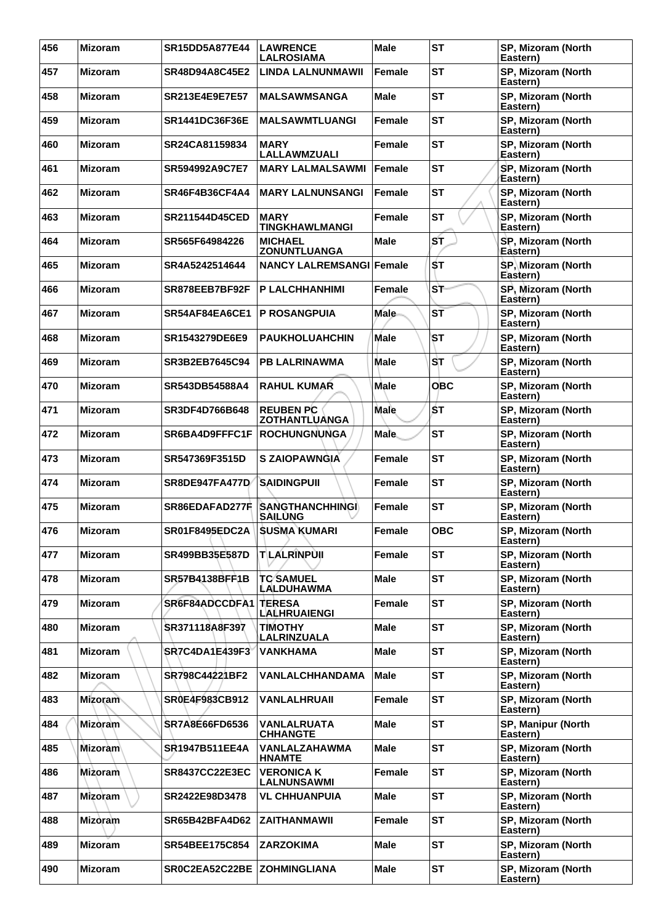| 456 | <b>Mizoram</b> | <b>SR15DD5A877E44</b>       | <b>LAWRENCE</b><br><b>LALROSIAMA</b>     | <b>Male</b>   | <b>ST</b>  | SP, Mizoram (North<br>Eastern) |
|-----|----------------|-----------------------------|------------------------------------------|---------------|------------|--------------------------------|
| 457 | <b>Mizoram</b> | <b>SR48D94A8C45E2</b>       | <b>LINDA LALNUNMAWII</b>                 | <b>Female</b> | <b>ST</b>  | SP, Mizoram (North<br>Eastern) |
| 458 | <b>Mizoram</b> | <b>SR213E4E9E7E57</b>       | <b>MALSAWMSANGA</b>                      | Male          | <b>ST</b>  | SP, Mizoram (North<br>Eastern) |
| 459 | <b>Mizoram</b> | <b>SR1441DC36F36E</b>       | <b>MALSAWMTLUANGI</b>                    | <b>Female</b> | <b>ST</b>  | SP, Mizoram (North<br>Eastern) |
| 460 | <b>Mizoram</b> | SR24CA81159834              | <b>MARY</b><br>LALLAWMZUALI              | Female        | <b>ST</b>  | SP, Mizoram (North<br>Eastern) |
| 461 | <b>Mizoram</b> | SR594992A9C7E7              | <b>MARY LALMALSAWMI</b>                  | Female        | <b>ST</b>  | SP, Mizoram (North<br>Eastern) |
| 462 | <b>Mizoram</b> | <b>SR46F4B36CF4A4</b>       | <b>MARY LALNUNSANGI</b>                  | Female        | <b>ST</b>  | SP, Mizoram (North<br>Eastern) |
| 463 | <b>Mizoram</b> | SR211544D45CED              | <b>MARY</b><br><b>TINGKHAWLMANGI</b>     | Female        | <b>ST</b>  | SP, Mizoram (North<br>Eastern) |
| 464 | <b>Mizoram</b> | SR565F64984226              | <b>MICHAEL</b><br><b>ZONUNTLUANGA</b>    | <b>Male</b>   | ST         | SP, Mizoram (North<br>Eastern) |
| 465 | <b>Mizoram</b> | SR4A5242514644              | <b>NANCY LALREMSANGI</b>                 | Female        | ŚТ         | SP, Mizoram (North<br>Eastern) |
| 466 | <b>Mizoram</b> | SR878EEB7BF92F              | <b>P LALCHHANHIMI</b>                    | Female        | ST         | SP, Mizoram (North<br>Eastern) |
| 467 | <b>Mizoram</b> | SR54AF84EA6CE1              | <b>P ROSANGPUIA</b>                      | <b>Male</b>   | ST         | SP, Mizoram (North<br>Eastern) |
| 468 | <b>Mizoram</b> | SR1543279DE6E9              | <b>PAUKHOLUAHCHIN</b>                    | Male          | ST         | SP, Mizoram (North<br>Eastern) |
| 469 | <b>Mizoram</b> | SR3B2EB7645C94              | <b>PB LALRINAWMA</b>                     | <b>Male</b>   | ST         | SP, Mizoram (North<br>Eastern) |
| 470 | <b>Mizoram</b> | SR543DB54588A4              | <b>RAHUL KUMAR</b>                       | <b>Male</b>   | <b>OBC</b> | SP, Mizoram (North<br>Eastern) |
| 471 | <b>Mizoram</b> | SR3DF4D766B648              | <b>REUBEN PC</b><br><b>ZOTHANTLUANGA</b> | Male          | ŚТ         | SP, Mizoram (North<br>Eastern) |
| 472 | <b>Mizoram</b> | SR6BA4D9FFFC1F              | <b>ROCHUNGNUNGA</b>                      | <b>Male</b>   | <b>ST</b>  | SP, Mizoram (North<br>Eastern) |
| 473 | <b>Mizoram</b> | SR547369F3515D              | <b>S ZAIOPAWNGIA</b>                     | Female        | <b>ST</b>  | SP, Mizoram (North<br>Eastern) |
| 474 | <b>Mizoram</b> | <b>SR8DE947FA477D</b>       | <b>SAIDINGPUIL</b>                       | Female        | <b>ST</b>  | SP, Mizoram (North<br>Eastern) |
| 475 | <b>Mizoram</b> | SR86EDAFAD277F              | <b>SANGTHANCHHINGI</b><br><b>SAILUNG</b> | Female        | <b>ST</b>  | SP, Mizoram (North<br>Eastern) |
| 476 | <b>Mizoram</b> | <b>SR01F8495EDC2A</b>       | İSUSMA KUMARI                            | Female        | <b>OBC</b> | SP, Mizoram (North<br>Eastern) |
| 477 | <b>Mizoram</b> | SR499BB35E587D              | <b>TLALRINPUIL</b>                       | <b>Female</b> | <b>ST</b>  | SP, Mizoram (North<br>Eastern) |
| 478 | <b>Mizoram</b> | SR57B4138BFF1B              | <b>TC SAMUEL</b><br>LALDUHAWMA           | <b>Male</b>   | <b>ST</b>  | SP, Mizoram (North<br>Eastern) |
| 479 | <b>Mizoram</b> | SR6F84ADCCDFA1              | <b>TERESA</b><br><b>LALHRUAIENGI</b>     | Female        | <b>ST</b>  | SP, Mizoram (North<br>Eastern) |
| 480 | <b>Mizoram</b> | SR371118A8F397              | <b>TIMOTHY</b><br>LALRINZUALA            | <b>Male</b>   | <b>ST</b>  | SP, Mizoram (North<br>Eastern) |
| 481 | <b>Mizoram</b> | <b>SR7C4DA1E439F3</b>       | <b>VANKHAMA</b>                          | <b>Male</b>   | <b>ST</b>  | SP, Mizoram (North<br>Eastern) |
| 482 | <b>Mizoram</b> | SR798C44221BF2              | VANLALCHHANDAMA                          | <b>Male</b>   | <b>ST</b>  | SP, Mizoram (North<br>Eastern) |
| 483 | Mizoram        | SR0E4F983CB912              | VANLALHRUAII                             | Female        | <b>ST</b>  | SP, Mizoram (North<br>Eastern) |
| 484 | <b>Mizoram</b> | <b>SR7A8E66FD6536</b>       | <b>VANLALRUATA</b><br><b>CHHANGTE</b>    | <b>Male</b>   | <b>ST</b>  | SP, Manipur (North<br>Eastern) |
| 485 | <b>Mizoram</b> | <b>SR1947B511EE4A</b>       | <b>VANLALZAHAWMA</b><br><b>HNAMTE</b>    | <b>Male</b>   | <b>ST</b>  | SP, Mizoram (North<br>Eastern) |
| 486 | <b>Mizoram</b> | <b>SR8437CC22E3EC</b>       | <b>VERONICA K</b><br>LALNUNSAWMI         | <b>Female</b> | <b>ST</b>  | SP, Mizoram (North<br>Eastern) |
| 487 | <b>Mizoram</b> | SR2422E98D3478              | <b>VL CHHUANPUIA</b>                     | <b>Male</b>   | <b>ST</b>  | SP, Mizoram (North<br>Eastern) |
| 488 | Mizoram        | <b>SR65B42BFA4D62</b>       | <b>ZAITHANMAWII</b>                      | <b>Female</b> | <b>ST</b>  | SP, Mizoram (North<br>Eastern) |
| 489 | <b>Mizoram</b> | <b>SR54BEE175C854</b>       | <b>ZARZOKIMA</b>                         | <b>Male</b>   | <b>ST</b>  | SP, Mizoram (North<br>Eastern) |
| 490 | <b>Mizoram</b> | SR0C2EA52C22BE ZOHMINGLIANA |                                          | <b>Male</b>   | <b>ST</b>  | SP, Mizoram (North<br>Eastern) |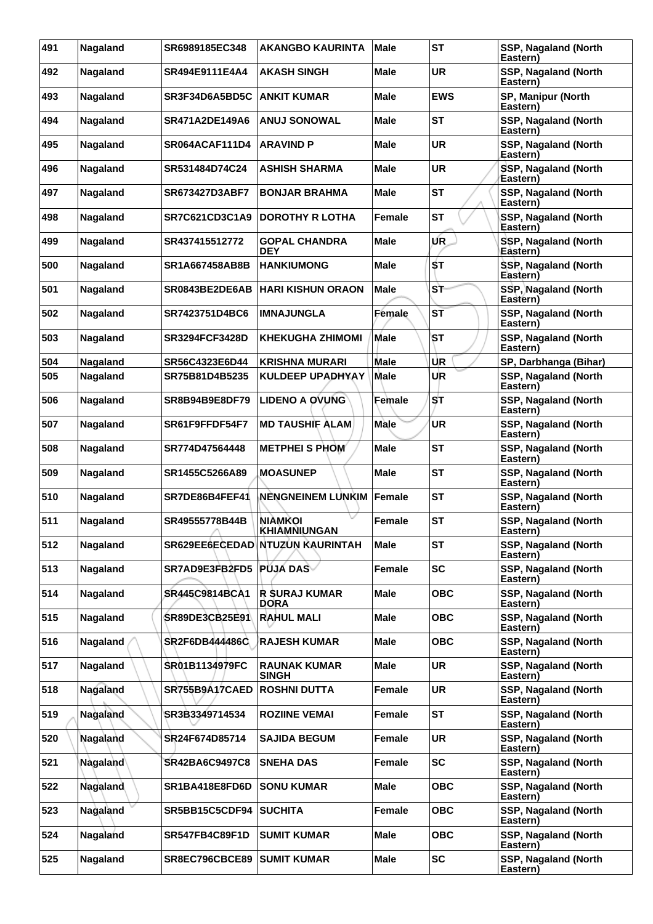| 491 | Nagaland | SR6989185EC348        | <b>AKANGBO KAURINTA</b>               | <b>Male</b>   | <b>ST</b>  | SSP, Nagaland (North<br>Eastern)        |
|-----|----------|-----------------------|---------------------------------------|---------------|------------|-----------------------------------------|
| 492 | Nagaland | SR494E9111E4A4        | AKASH SINGH                           | <b>Male</b>   | <b>UR</b>  | SSP, Nagaland (North<br>Eastern)        |
| 493 | Nagaland | SR3F34D6A5BD5C        | <b>ANKIT KUMAR</b>                    | Male          | <b>EWS</b> | SP, Manipur (North<br>Eastern)          |
| 494 | Nagaland | <b>SR471A2DE149A6</b> | <b>ANUJ SONOWAL</b>                   | <b>Male</b>   | <b>ST</b>  | <b>SSP, Nagaland (North</b><br>Eastern) |
| 495 | Nagaland | SR064ACAF111D4        | <b>ARAVIND P</b>                      | <b>Male</b>   | <b>UR</b>  | SSP, Nagaland (North<br>Eastern)        |
| 496 | Nagaland | SR531484D74C24        | <b>ASHISH SHARMA</b>                  | Male          | <b>UR</b>  | SSP, Nagaland (North<br>Eastern)        |
| 497 | Nagaland | SR673427D3ABF7        | <b>BONJAR BRAHMA</b>                  | Male          | <b>ST</b>  | SSP, Nagaland (North<br>Eastern)        |
| 498 | Nagaland | SR7C621CD3C1A9        | <b>DOROTHY R LOTHA</b>                | Female        | <b>ST</b>  | SSP, Nagaland (North<br>Eastern)        |
| 499 | Nagaland | SR437415512772        | <b>GOPAL CHANDRA</b><br>DEY           | Male          | UR         | SSP, Nagaland (North<br>Eastern)        |
| 500 | Nagaland | SR1A667458AB8B        | <b>HANKIUMONG</b>                     | <b>Male</b>   | ŚТ         | SSP, Nagaland (North<br>Eastern)        |
| 501 | Nagaland | SR0843BE2DE6AB        | <b>HARI KISHUN ORAON</b>              | <b>Male</b>   | ST         | SSP, Nagaland (North<br>Eastern)        |
| 502 | Nagaland | SR7423751D4BC6        | <b>IMNAJUNGLA</b>                     | Female        | ST         | <b>SSP, Nagaland (North</b><br>Eastern) |
| 503 | Nagaland | <b>SR3294FCF3428D</b> | <b>KHEKUGHA ZHIMOMI</b>               | <b>Male</b>   | ST         | SSP, Nagaland (North<br>Eastern)        |
| 504 | Nagaland | SR56C4323E6D44        | <b>KRISHNA MURARI</b>                 | Male          | UR         | SP, Darbhanga (Bihar)                   |
| 505 | Nagaland | SR75B81D4B5235        | <b>KULDEEP UPADHYAY</b>               | <b>Male</b>   | UR         | <b>SSP, Nagaland (North</b><br>Eastern) |
| 506 | Nagaland | SR8B94B9E8DF79        | <b>LIDENO A OVUNG</b>                 | Female        | ST         | SSP, Nagaland (North<br>Eastern)        |
| 507 | Nagaland | SR61F9FFDF54F7        | <b>MD TAUSHIF ALAM</b>                | Male          | UR         | SSP, Nagaland (North<br>Eastern)        |
| 508 | Nagaland | SR774D47564448        | <b>METPHEI S PHOM</b>                 | <b>Male</b>   | <b>ST</b>  | SSP, Nagaland (North<br>Eastern)        |
| 509 | Nagaland | SR1455C5266A89        | <b>MOASUNEP</b>                       | Male          | <b>ST</b>  | SSP, Nagaland (North<br>Eastern)        |
| 510 | Nagaland | SR7DE86B4FEF41        | <b>NENGNEINEM LUNKIM</b>              | <b>Female</b> | <b>ST</b>  | SSP, Nagaland (North<br>Eastern)        |
| 511 | Nagaland | SR49555778B44B        | <b>NIAMKOI</b><br><b>KHIAMNIUNGAN</b> | Female        | <b>ST</b>  | SSP, Nagaland (North<br>Eastern)        |
| 512 | Nagaland |                       | SR629EE6ECEDAD NTUZUN KAURINTAH       | <b>Male</b>   | <b>ST</b>  | SSP, Nagaland (North<br>Eastern)        |
| 513 | Nagaland | SR7AD9E3FB2FD5        | <b>PUJA DAS</b>                       | <b>Female</b> | <b>SC</b>  | SSP, Nagaland (North<br>Eastern)        |
| 514 | Nagaland | SR445C9814BCA1        | <b>R SURAJ KUMAR</b><br><b>DORA</b>   | <b>Male</b>   | <b>OBC</b> | SSP, Nagaland (North<br>Eastern)        |
| 515 | Nagaland | SR89DE3CB25E91        | <b>RAHUL MALI</b>                     | <b>Male</b>   | <b>OBC</b> | SSP, Nagaland (North<br>Eastern)        |
| 516 | Nagaland | <b>SR2F6DB444486C</b> | <b>RAJESH KUMAR</b>                   | <b>Male</b>   | <b>OBC</b> | SSP, Nagaland (North<br>Eastern)        |
| 517 | Nagaland | SR01B1134979FC        | <b>RAUNAK KUMAR</b><br><b>SINGH</b>   | <b>Male</b>   | <b>UR</b>  | SSP, Nagaland (North<br>Eastern)        |
| 518 | Nagaland | SR755B9A17CAED        | <b>ROSHNI DUTTA</b>                   | Female        | <b>UR</b>  | SSP, Nagaland (North<br>Eastern)        |
| 519 | Nagaland | SR3B3349714534        | <b>ROZIINE VEMAI</b>                  | <b>Female</b> | <b>ST</b>  | SSP, Nagaland (North<br>Eastern)        |
| 520 | Nagaland | SR24F674D85714        | <b>SAJIDA BEGUM</b>                   | Female        | <b>UR</b>  | SSP, Nagaland (North<br>Eastern)        |
| 521 | Nagaland | <b>SR42BA6C9497C8</b> | <b>SNEHA DAS</b>                      | Female        | <b>SC</b>  | SSP, Nagaland (North<br>Eastern)        |
| 522 | Nagaland | SR1BA418E8FD6D        | <b>SONU KUMAR</b>                     | <b>Male</b>   | <b>OBC</b> | SSP, Nagaland (North<br>Eastern)        |
| 523 | Nagaland | SR5BB15C5CDF94        | <b>SUCHITA</b>                        | <b>Female</b> | <b>OBC</b> | SSP, Nagaland (North<br>Eastern)        |
| 524 | Nagaland | SR547FB4C89F1D        | <b>SUMIT KUMAR</b>                    | <b>Male</b>   | <b>OBC</b> | SSP, Nagaland (North<br>Eastern)        |
| 525 | Nagaland | SR8EC796CBCE89        | <b>SUMIT KUMAR</b>                    | <b>Male</b>   | <b>SC</b>  | SSP, Nagaland (North<br>Eastern)        |